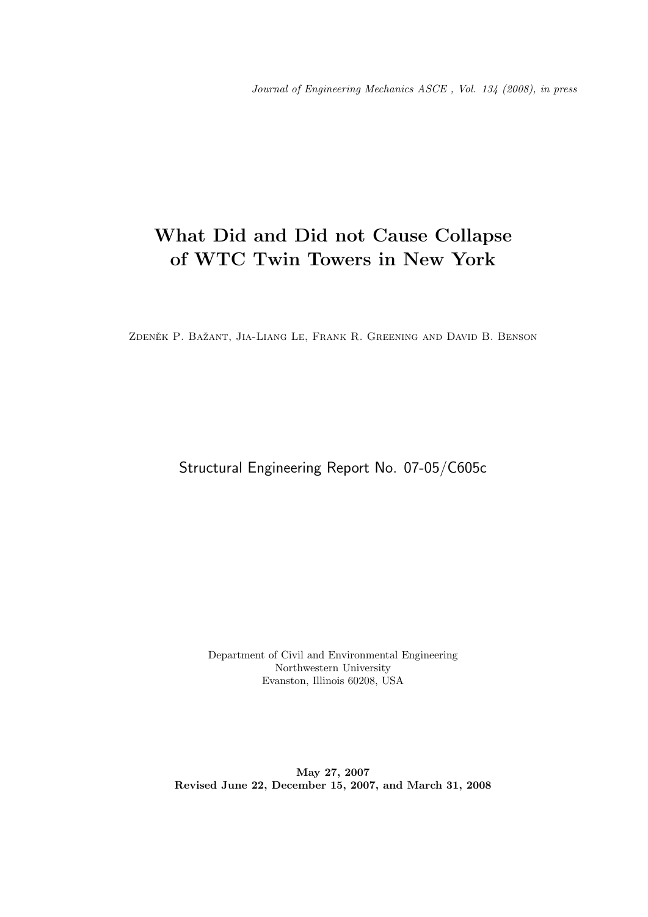# What Did and Did not Cause Collapse of WTC Twin Towers in New York

ZDENĚK P. BAŽANT, JIA-LIANG LE, FRANK R. GREENING AND DAVID B. BENSON

Structural Engineering Report No. 07-05/C605c

Department of Civil and Environmental Engineering Northwestern University Evanston, Illinois 60208, USA

May 27, 2007 Revised June 22, December 15, 2007, and March 31, 2008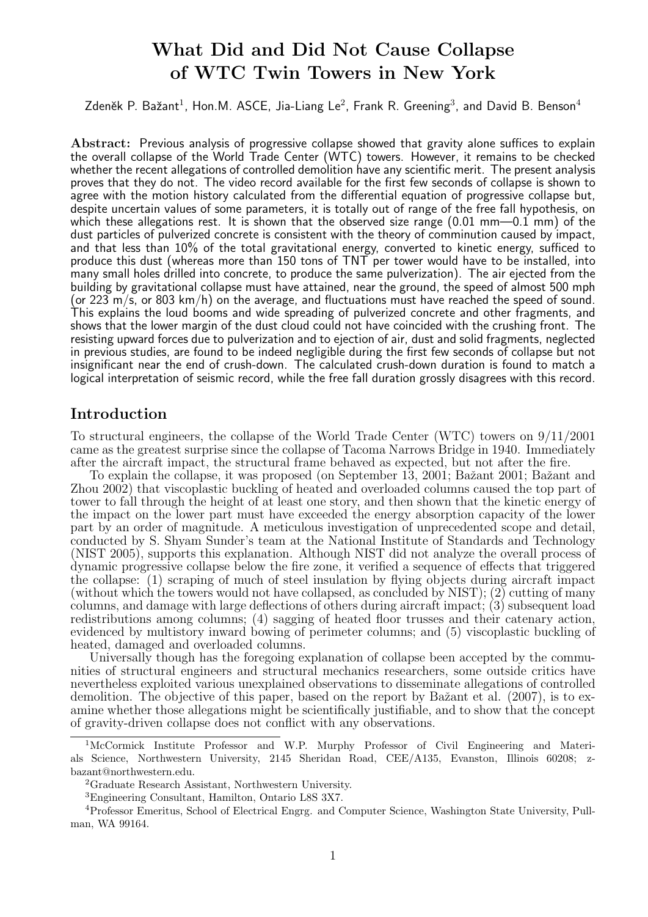# What Did and Did Not Cause Collapse of WTC Twin Towers in New York

Zdeněk P. Bažant $^1$ , Hon.M. ASCE, Jia-Liang Le $^2$ , Frank R. Greening $^3$ , and David B. Benson $^4$ 

Abstract: Previous analysis of progressive collapse showed that gravity alone suffices to explain the overall collapse of the World Trade Center (WTC) towers. However, it remains to be checked whether the recent allegations of controlled demolition have any scientific merit. The present analysis proves that they do not. The video record available for the first few seconds of collapse is shown to agree with the motion history calculated from the differential equation of progressive collapse but, despite uncertain values of some parameters, it is totally out of range of the free fall hypothesis, on which these allegations rest. It is shown that the observed size range  $(0.01 \text{ mm} - 0.1 \text{ mm})$  of the dust particles of pulverized concrete is consistent with the theory of comminution caused by impact, and that less than 10% of the total gravitational energy, converted to kinetic energy, sufficed to produce this dust (whereas more than 150 tons of TNT per tower would have to be installed, into many small holes drilled into concrete, to produce the same pulverization). The air ejected from the building by gravitational collapse must have attained, near the ground, the speed of almost 500 mph (or 223 m/s, or 803 km/h) on the average, and fluctuations must have reached the speed of sound. This explains the loud booms and wide spreading of pulverized concrete and other fragments, and shows that the lower margin of the dust cloud could not have coincided with the crushing front. The resisting upward forces due to pulverization and to ejection of air, dust and solid fragments, neglected in previous studies, are found to be indeed negligible during the first few seconds of collapse but not insignificant near the end of crush-down. The calculated crush-down duration is found to match a logical interpretation of seismic record, while the free fall duration grossly disagrees with this record.

### Introduction

To structural engineers, the collapse of the World Trade Center (WTC) towers on 9/11/2001 came as the greatest surprise since the collapse of Tacoma Narrows Bridge in 1940. Immediately after the aircraft impact, the structural frame behaved as expected, but not after the fire.

To explain the collapse, it was proposed (on September 13, 2001; Bažant 2001; Bažant and Zhou 2002) that viscoplastic buckling of heated and overloaded columns caused the top part of tower to fall through the height of at least one story, and then shown that the kinetic energy of the impact on the lower part must have exceeded the energy absorption capacity of the lower part by an order of magnitude. A meticulous investigation of unprecedented scope and detail, conducted by S. Shyam Sunder's team at the National Institute of Standards and Technology (NIST 2005), supports this explanation. Although NIST did not analyze the overall process of dynamic progressive collapse below the fire zone, it verified a sequence of effects that triggered the collapse: (1) scraping of much of steel insulation by flying objects during aircraft impact (without which the towers would not have collapsed, as concluded by NIST);  $(2)$  cutting of many columns, and damage with large deflections of others during aircraft impact; (3) subsequent load redistributions among columns; (4) sagging of heated floor trusses and their catenary action, evidenced by multistory inward bowing of perimeter columns; and (5) viscoplastic buckling of heated, damaged and overloaded columns.

Universally though has the foregoing explanation of collapse been accepted by the communities of structural engineers and structural mechanics researchers, some outside critics have nevertheless exploited various unexplained observations to disseminate allegations of controlled demolition. The objective of this paper, based on the report by Bažant et al. (2007), is to examine whether those allegations might be scientifically justifiable, and to show that the concept of gravity-driven collapse does not conflict with any observations.

<sup>&</sup>lt;sup>1</sup>McCormick Institute Professor and W.P. Murphy Professor of Civil Engineering and Materials Science, Northwestern University, 2145 Sheridan Road, CEE/A135, Evanston, Illinois 60208; zbazant@northwestern.edu.

<sup>2</sup>Graduate Research Assistant, Northwestern University.

<sup>3</sup>Engineering Consultant, Hamilton, Ontario L8S 3X7.

<sup>4</sup>Professor Emeritus, School of Electrical Engrg. and Computer Science, Washington State University, Pullman, WA 99164.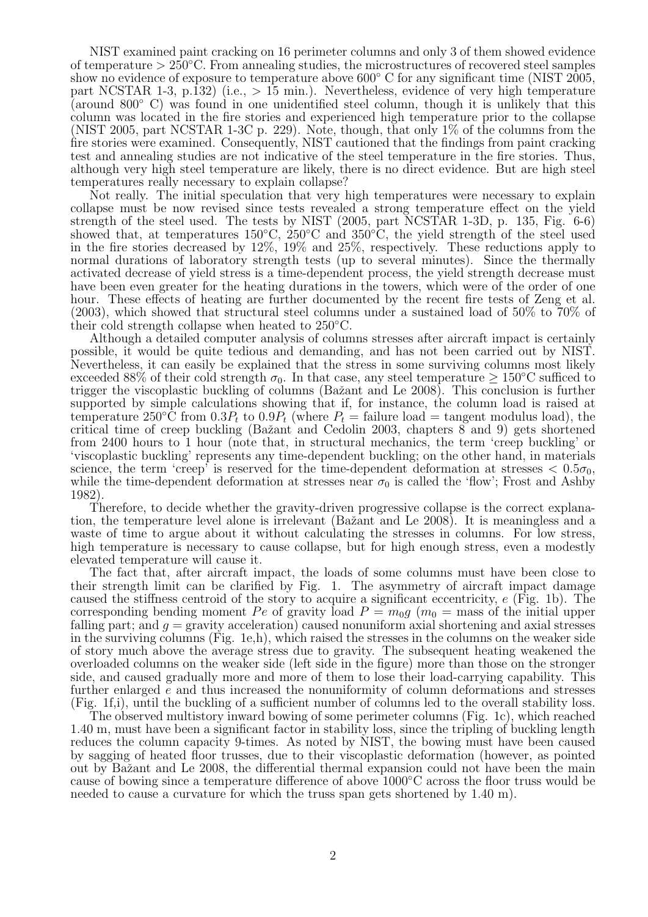NIST examined paint cracking on 16 perimeter columns and only 3 of them showed evidence of temperature > 250◦C. From annealing studies, the microstructures of recovered steel samples show no evidence of exposure to temperature above  $600^{\circ}$  C for any significant time (NIST 2005, part NCSTAR 1-3, p.132) (i.e.,  $> 15$  min.). Nevertheless, evidence of very high temperature (around 800◦ C) was found in one unidentified steel column, though it is unlikely that this column was located in the fire stories and experienced high temperature prior to the collapse (NIST 2005, part NCSTAR 1-3C p. 229). Note, though, that only 1% of the columns from the fire stories were examined. Consequently, NIST cautioned that the findings from paint cracking test and annealing studies are not indicative of the steel temperature in the fire stories. Thus, although very high steel temperature are likely, there is no direct evidence. But are high steel temperatures really necessary to explain collapse?

Not really. The initial speculation that very high temperatures were necessary to explain collapse must be now revised since tests revealed a strong temperature effect on the yield strength of the steel used. The tests by NIST (2005, part NCSTAR 1-3D, p. 135, Fig. 6-6) showed that, at temperatures 150°C,  $\rm 250^{\circ}C$  and  $\rm 350^{\circ}C$ , the yield strength of the steel used in the fire stories decreased by 12%, 19% and 25%, respectively. These reductions apply to normal durations of laboratory strength tests (up to several minutes). Since the thermally activated decrease of yield stress is a time-dependent process, the yield strength decrease must have been even greater for the heating durations in the towers, which were of the order of one hour. These effects of heating are further documented by the recent fire tests of Zeng et al. (2003), which showed that structural steel columns under a sustained load of 50% to 70% of their cold strength collapse when heated to 250◦C.

Although a detailed computer analysis of columns stresses after aircraft impact is certainly possible, it would be quite tedious and demanding, and has not been carried out by NIST. Nevertheless, it can easily be explained that the stress in some surviving columns most likely exceeded 88% of their cold strength  $\sigma_0$ . In that case, any steel temperature  $\geq 150^{\circ}\text{C}$  sufficed to trigger the viscoplastic buckling of columns (Bažant and Le 2008). This conclusion is further supported by simple calculations showing that if, for instance, the column load is raised at temperature 250°C from  $0.3P_t$  to  $0.9P_t$  (where  $P_t =$  failure load = tangent modulus load), the critical time of creep buckling (Bažant and Cedolin 2003, chapters  $\breve{8}$  and 9) gets shortened from 2400 hours to 1 hour (note that, in structural mechanics, the term 'creep buckling' or 'viscoplastic buckling' represents any time-dependent buckling; on the other hand, in materials science, the term 'creep' is reserved for the time-dependent deformation at stresses  $< 0.5\sigma_0$ , while the time-dependent deformation at stresses near  $\sigma_0$  is called the 'flow'; Frost and Ashby 1982).

Therefore, to decide whether the gravity-driven progressive collapse is the correct explanation, the temperature level alone is irrelevant (Baˇzant and Le 2008). It is meaningless and a waste of time to argue about it without calculating the stresses in columns. For low stress, high temperature is necessary to cause collapse, but for high enough stress, even a modestly elevated temperature will cause it.

The fact that, after aircraft impact, the loads of some columns must have been close to their strength limit can be clarified by Fig. 1. The asymmetry of aircraft impact damage caused the stiffness centroid of the story to acquire a significant eccentricity, e (Fig. 1b). The corresponding bending moment Pe of gravity load  $P = m_0 g$  ( $m_0 =$  mass of the initial upper falling part; and  $g = \tilde{g}$  and  $g = \tilde{g}$  and axial stresses and axial stresses in the surviving columns (Fig. 1e,h), which raised the stresses in the columns on the weaker side of story much above the average stress due to gravity. The subsequent heating weakened the overloaded columns on the weaker side (left side in the figure) more than those on the stronger side, and caused gradually more and more of them to lose their load-carrying capability. This further enlarged e and thus increased the nonuniformity of column deformations and stresses (Fig. 1f,i), until the buckling of a sufficient number of columns led to the overall stability loss.

The observed multistory inward bowing of some perimeter columns (Fig. 1c), which reached 1.40 m, must have been a significant factor in stability loss, since the tripling of buckling length reduces the column capacity 9-times. As noted by NIST, the bowing must have been caused by sagging of heated floor trusses, due to their viscoplastic deformation (however, as pointed out by Baˇzant and Le 2008, the differential thermal expansion could not have been the main cause of bowing since a temperature difference of above 1000◦C across the floor truss would be needed to cause a curvature for which the truss span gets shortened by 1.40 m).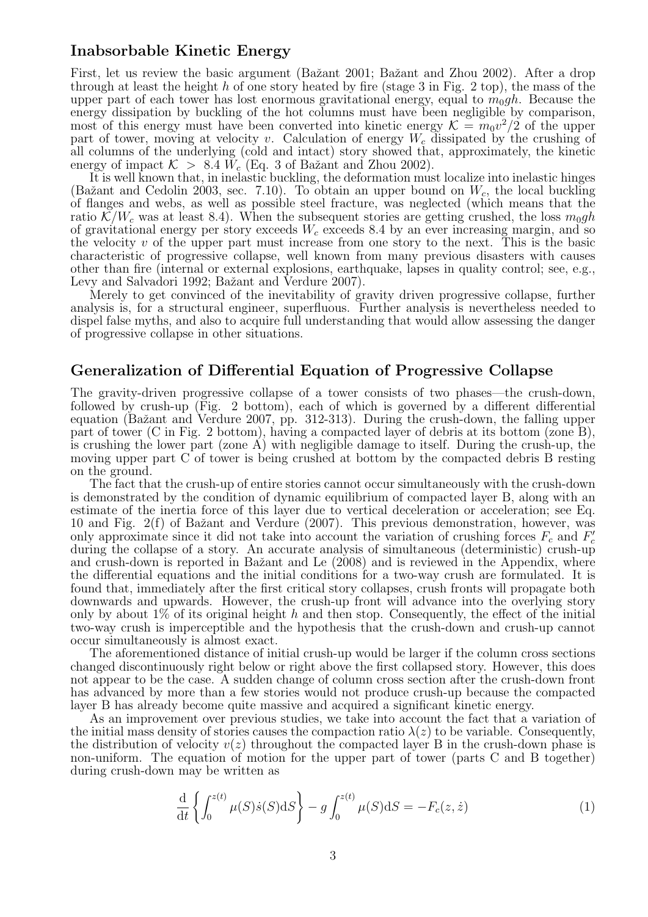#### Inabsorbable Kinetic Energy

First, let us review the basic argument (Bažant 2001; Bažant and Zhou 2002). After a drop through at least the height  $h$  of one story heated by fire (stage 3 in Fig. 2 top), the mass of the upper part of each tower has lost enormous gravitational energy, equal to  $m_0gh$ . Because the energy dissipation by buckling of the hot columns must have been negligible by comparison, most of this energy must have been converted into kinetic energy  $\mathcal{K} = m_0 v^2 / 2$  of the upper part of tower, moving at velocity v. Calculation of energy  $W_c$  dissipated by the crushing of all columns of the underlying (cold and intact) story showed that, approximately, the kinetic energy of impact  $K > 8.4$   $W_c$  (Eq. 3 of Bažant and Zhou 2002).

It is well known that, in inelastic buckling, the deformation must localize into inelastic hinges (Bažant and Cedolin 2003, sec. 7.10). To obtain an upper bound on  $W_c$ , the local buckling of flanges and webs, as well as possible steel fracture, was neglected (which means that the ratio  $\mathcal{K}/W_c$  was at least 8.4). When the subsequent stories are getting crushed, the loss  $m_0gh$ of gravitational energy per story exceeds  $W_c$  exceeds 8.4 by an ever increasing margin, and so the velocity  $v$  of the upper part must increase from one story to the next. This is the basic characteristic of progressive collapse, well known from many previous disasters with causes other than fire (internal or external explosions, earthquake, lapses in quality control; see, e.g., Levy and Salvadori 1992; Bažant and Verdure 2007).

Merely to get convinced of the inevitability of gravity driven progressive collapse, further analysis is, for a structural engineer, superfluous. Further analysis is nevertheless needed to dispel false myths, and also to acquire full understanding that would allow assessing the danger of progressive collapse in other situations.

#### Generalization of Differential Equation of Progressive Collapse

The gravity-driven progressive collapse of a tower consists of two phases—the crush-down, followed by crush-up (Fig. 2 bottom), each of which is governed by a different differential equation (Bažant and Verdure 2007, pp. 312-313). During the crush-down, the falling upper part of tower (C in Fig. 2 bottom), having a compacted layer of debris at its bottom (zone B), is crushing the lower part (zone A) with negligible damage to itself. During the crush-up, the moving upper part C of tower is being crushed at bottom by the compacted debris B resting on the ground.

The fact that the crush-up of entire stories cannot occur simultaneously with the crush-down is demonstrated by the condition of dynamic equilibrium of compacted layer B, along with an estimate of the inertia force of this layer due to vertical deceleration or acceleration; see Eq. 10 and Fig. 2(f) of Bažant and Verdure (2007). This previous demonstration, however, was only approximate since it did not take into account the variation of crushing forces  $F_c$  and  $F_c$ during the collapse of a story. An accurate analysis of simultaneous (deterministic) crush-up and crush-down is reported in Bažant and Le  $(2008)$  and is reviewed in the Appendix, where the differential equations and the initial conditions for a two-way crush are formulated. It is found that, immediately after the first critical story collapses, crush fronts will propagate both downwards and upwards. However, the crush-up front will advance into the overlying story only by about  $1\%$  of its original height h and then stop. Consequently, the effect of the initial two-way crush is imperceptible and the hypothesis that the crush-down and crush-up cannot occur simultaneously is almost exact.

The aforementioned distance of initial crush-up would be larger if the column cross sections changed discontinuously right below or right above the first collapsed story. However, this does not appear to be the case. A sudden change of column cross section after the crush-down front has advanced by more than a few stories would not produce crush-up because the compacted layer B has already become quite massive and acquired a significant kinetic energy.

As an improvement over previous studies, we take into account the fact that a variation of the initial mass density of stories causes the compaction ratio  $\lambda(z)$  to be variable. Consequently, the distribution of velocity  $v(z)$  throughout the compacted layer B in the crush-down phase is non-uniform. The equation of motion for the upper part of tower (parts C and B together) during crush-down may be written as

$$
\frac{\mathrm{d}}{\mathrm{d}t} \left\{ \int_0^{z(t)} \mu(S)\dot{s}(S) \mathrm{d}S \right\} - g \int_0^{z(t)} \mu(S) \mathrm{d}S = -F_c(z, \dot{z}) \tag{1}
$$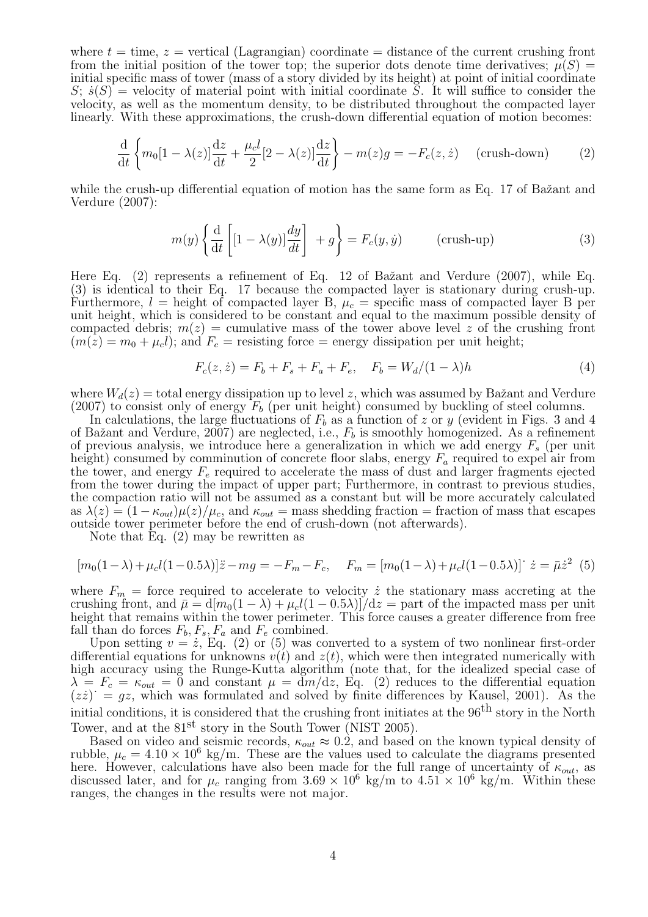where  $t = \text{time}, z = \text{vertical}$  (Lagrangian) coordinate = distance of the current crushing front from the initial position of the tower top; the superior dots denote time derivatives;  $\mu(S)$  = initial specific mass of tower (mass of a story divided by its height) at point of initial coordinate  $S; \dot{s}(S)$  = velocity of material point with initial coordinate  $\overline{S}$ . It will suffice to consider the velocity, as well as the momentum density, to be distributed throughout the compacted layer linearly. With these approximations, the crush-down differential equation of motion becomes:

$$
\frac{\mathrm{d}}{\mathrm{d}t} \left\{ m_0[1 - \lambda(z)] \frac{\mathrm{d}z}{\mathrm{d}t} + \frac{\mu_c l}{2} [2 - \lambda(z)] \frac{\mathrm{d}z}{\mathrm{d}t} \right\} - m(z)g = -F_c(z, \dot{z}) \quad \text{(crush-down)} \tag{2}
$$

while the crush-up differential equation of motion has the same form as Eq. 17 of Ba $\check{z}$ ant and Verdure (2007):

$$
m(y)\left\{\frac{\mathrm{d}}{\mathrm{d}t}\left[1-\lambda(y)\right]\frac{dy}{dt}\right\} + g\right\} = F_c(y,\dot{y}) \qquad \text{(crush-up)} \tag{3}
$$

Here Eq. (2) represents a refinement of Eq. 12 of Bažant and Verdure (2007), while Eq. (3) is identical to their Eq. 17 because the compacted layer is stationary during crush-up. Furthermore,  $l =$  height of compacted layer B,  $\mu_c =$  specific mass of compacted layer B per unit height, which is considered to be constant and equal to the maximum possible density of compacted debris;  $m(z)$  = cumulative mass of the tower above level z of the crushing front  $(m(z) = m_0 + \mu_c)$ ; and  $F_c$  = resisting force = energy dissipation per unit height;

$$
F_c(z, \dot{z}) = F_b + F_s + F_a + F_e, \quad F_b = W_d/(1 - \lambda)h \tag{4}
$$

where  $W_d(z) =$  total energy dissipation up to level z, which was assumed by Bažant and Verdure (2007) to consist only of energy  $F_b$  (per unit height) consumed by buckling of steel columns.

In calculations, the large fluctuations of  $F_b$  as a function of z or y (evident in Figs. 3 and 4 of Bažant and Verdure, 2007) are neglected, i.e.,  $F_b$  is smoothly homogenized. As a refinement of previous analysis, we introduce here a generalization in which we add energy  $F_s$  (per unit height) consumed by comminution of concrete floor slabs, energy  $F_a$  required to expel air from the tower, and energy  $F_e$  required to accelerate the mass of dust and larger fragments ejected from the tower during the impact of upper part; Furthermore, in contrast to previous studies, the compaction ratio will not be assumed as a constant but will be more accurately calculated as  $\lambda(z) = (1 - \kappa_{out})\mu(z)/\mu_c$ , and  $\kappa_{out}$  = mass shedding fraction = fraction of mass that escapes outside tower perimeter before the end of crush-down (not afterwards).

Note that Eq.  $(2)$  may be rewritten as

$$
[m_0(1 - \lambda) + \mu_c l (1 - 0.5\lambda)]\ddot{z} - mg = -F_m - F_c, \quad F_m = [m_0(1 - \lambda) + \mu_c l (1 - 0.5\lambda)] \dot{z} = \bar{\mu}\dot{z}^2
$$
 (5)

where  $F_m$  = force required to accelerate to velocity  $\dot{z}$  the stationary mass accreting at the crushing front, and  $\bar{\mu} = d[m_0(1 - \lambda) + \mu_c l(1 - 0.5\lambda)]/dz =$  part of the impacted mass per unit height that remains within the tower perimeter. This force causes a greater difference from free fall than do forces  $F_b, F_s, F_a$  and  $F_e$  combined.

Upon setting  $v = \dot{z}$ , Eq. (2) or (5) was converted to a system of two nonlinear first-order differential equations for unknowns  $v(t)$  and  $z(t)$ , which were then integrated numerically with high accuracy using the Runge-Kutta algorithm (note that, for the idealized special case of  $\lambda = F_c = \kappa_{out} = 0$  and constant  $\mu = dm/dz$ , Eq. (2) reduces to the differential equation  $(zz)^{0} = gz$ , which was formulated and solved by finite differences by Kausel, 2001). As the initial conditions, it is considered that the crushing front initiates at the  $96<sup>th</sup>$  story in the North Tower, and at the  $81<sup>st</sup>$  story in the South Tower (NIST 2005).

Based on video and seismic records,  $\kappa_{out} \approx 0.2$ , and based on the known typical density of rubble,  $\mu_c = 4.10 \times 10^6$  kg/m. These are the values used to calculate the diagrams presented here. However, calculations have also been made for the full range of uncertainty of  $\kappa_{out}$ , as discussed later, and for  $\mu_c$  ranging from  $3.69 \times 10^6$  kg/m to  $4.51 \times 10^6$  kg/m. Within these ranges, the changes in the results were not major.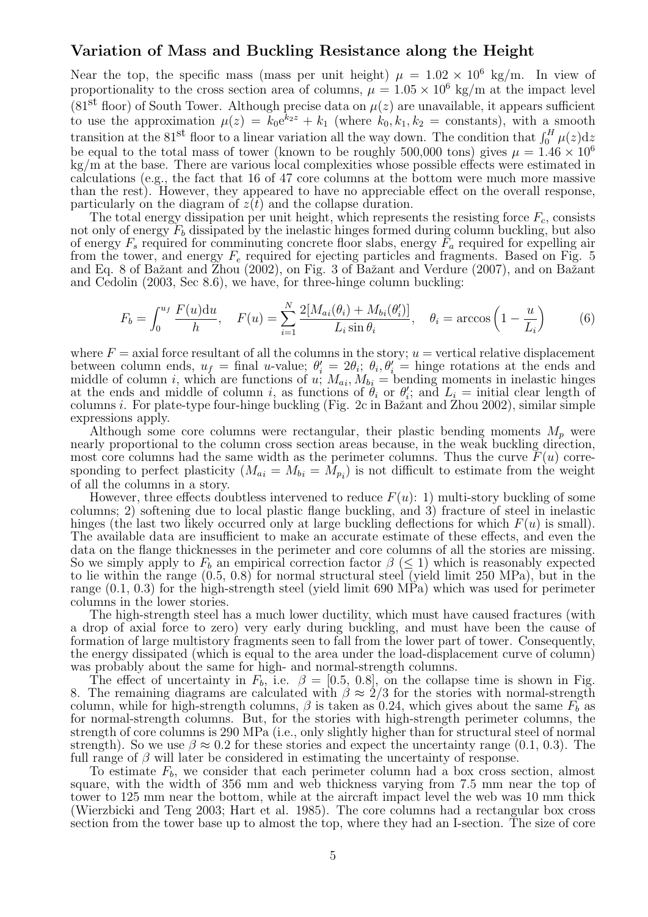#### Variation of Mass and Buckling Resistance along the Height

Near the top, the specific mass (mass per unit height)  $\mu = 1.02 \times 10^6$  kg/m. In view of proportionality to the cross section area of columns,  $\mu = 1.05 \times 10^6$  kg/m at the impact level (81<sup>st</sup> floor) of South Tower. Although precise data on  $\mu(z)$  are unavailable, it appears sufficient to use the approximation  $\mu(z) = k_0 e^{k_2 z} + k_1$  (where  $k_0, k_1, k_2$  = constants), with a smooth transition at the 81<sup>st</sup> floor to a linear variation all the way down. The condition that  $\int_0^H \mu(z) dz$ be equal to the total mass of tower (known to be roughly 500,000 tons) gives  $\mu = 1.46 \times 10^6$ kg/m at the base. There are various local complexities whose possible effects were estimated in calculations (e.g., the fact that 16 of 47 core columns at the bottom were much more massive than the rest). However, they appeared to have no appreciable effect on the overall response, particularly on the diagram of  $z(t)$  and the collapse duration.

The total energy dissipation per unit height, which represents the resisting force  $F_c$ , consists not only of energy  $F_b$  dissipated by the inelastic hinges formed during column buckling, but also of energy  $F_s$  required for comminuting concrete floor slabs, energy  $F_a$  required for expelling air from the tower, and energy  $F_e$  required for ejecting particles and fragments. Based on Fig. 5 and Eq. 8 of Bažant and Zhou (2002), on Fig. 3 of Bažant and Verdure (2007), and on Bažant and Cedolin (2003, Sec 8.6), we have, for three-hinge column buckling:

$$
F_b = \int_0^{u_f} \frac{F(u) \mathrm{d}u}{h}, \quad F(u) = \sum_{i=1}^N \frac{2[M_{ai}(\theta_i) + M_{bi}(\theta_i')]}{L_i \sin \theta_i}, \quad \theta_i = \arccos\left(1 - \frac{u}{L_i}\right) \tag{6}
$$

where  $F = 0$  axial force resultant of all the columns in the story;  $u = 0$  vertical relative displacement between column ends,  $u_f = \text{final } u\text{-value}$ ;  $\theta'_i = 2\theta_i$ ;  $\theta_i, \theta'_i = \text{hinge rotations at the ends and}$ middle of column i, which are functions of u;  $M_{ai}$ ,  $M_{bi}$  = bending moments in inelastic hinges at the ends and middle of column i, as functions of  $\theta_i$  or  $\theta'_i$ ; and  $L_i$  = initial clear length of columns *i*. For plate-type four-hinge buckling (Fig. 2c in Bažant and Zhou 2002), similar simple expressions apply.

Although some core columns were rectangular, their plastic bending moments  $M_p$  were nearly proportional to the column cross section areas because, in the weak buckling direction, most core columns had the same width as the perimeter columns. Thus the curve  $F(u)$  corresponding to perfect plasticity  $(M_{ai} = M_{bi} = M_{pi})$  is not difficult to estimate from the weight of all the columns in a story.

However, three effects doubtless intervened to reduce  $F(u)$ : 1) multi-story buckling of some columns; 2) softening due to local plastic flange buckling, and 3) fracture of steel in inelastic hinges (the last two likely occurred only at large buckling deflections for which  $F(u)$  is small). The available data are insufficient to make an accurate estimate of these effects, and even the data on the flange thicknesses in the perimeter and core columns of all the stories are missing. So we simply apply to  $F_b$  an empirical correction factor  $\beta \leq 1$ ) which is reasonably expected to lie within the range (0.5, 0.8) for normal structural steel (yield limit 250 MPa), but in the range (0.1, 0.3) for the high-strength steel (yield limit 690 MPa) which was used for perimeter columns in the lower stories.

The high-strength steel has a much lower ductility, which must have caused fractures (with a drop of axial force to zero) very early during buckling, and must have been the cause of formation of large multistory fragments seen to fall from the lower part of tower. Consequently, the energy dissipated (which is equal to the area under the load-displacement curve of column) was probably about the same for high- and normal-strength columns.

The effect of uncertainty in  $F_b$ , i.e.  $\beta = [0.5, 0.8]$ , on the collapse time is shown in Fig. 8. The remaining diagrams are calculated with  $\beta \approx 2/3$  for the stories with normal-strength column, while for high-strength columns,  $\beta$  is taken as 0.24, which gives about the same  $F_b$  as for normal-strength columns. But, for the stories with high-strength perimeter columns, the strength of core columns is 290 MPa (i.e., only slightly higher than for structural steel of normal strength). So we use  $\beta \approx 0.2$  for these stories and expect the uncertainty range (0.1, 0.3). The full range of  $\beta$  will later be considered in estimating the uncertainty of response.

To estimate  $F_b$ , we consider that each perimeter column had a box cross section, almost square, with the width of 356 mm and web thickness varying from 7.5 mm near the top of tower to 125 mm near the bottom, while at the aircraft impact level the web was 10 mm thick (Wierzbicki and Teng 2003; Hart et al. 1985). The core columns had a rectangular box cross section from the tower base up to almost the top, where they had an I-section. The size of core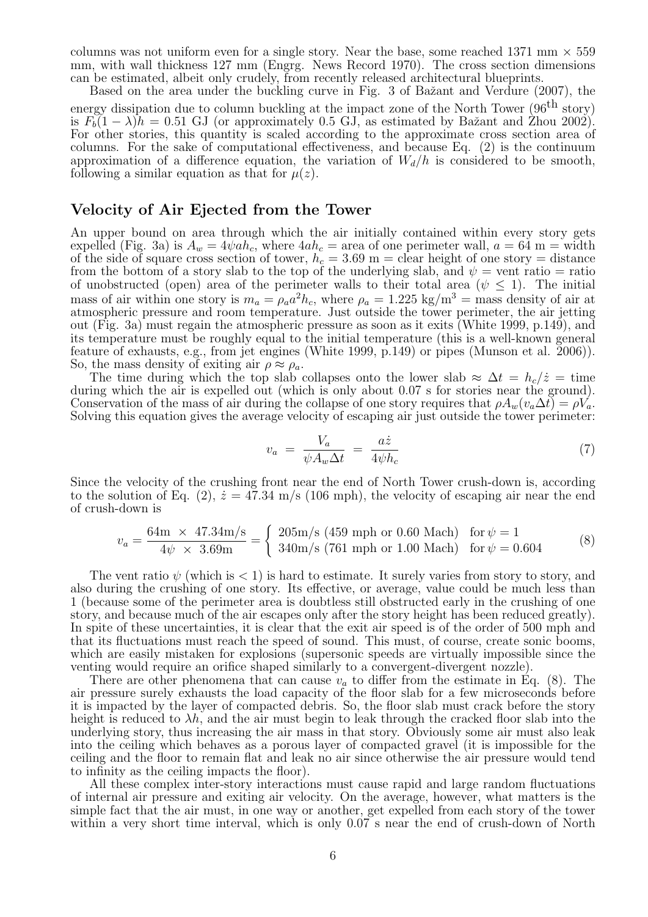columns was not uniform even for a single story. Near the base, some reached 1371 mm  $\times$  559 mm, with wall thickness 127 mm (Engrg. News Record 1970). The cross section dimensions can be estimated, albeit only crudely, from recently released architectural blueprints.

Based on the area under the buckling curve in Fig. 3 of Bažant and Verdure (2007), the energy dissipation due to column buckling at the impact zone of the North Tower ( $96<sup>th</sup>$  story) is  $F<sub>b</sub>(1 - \lambda)h = 0.51$  GJ (or approximately 0.5 GJ, as estimated by Bažant and Zhou 2002). For other stories, this quantity is scaled according to the approximate cross section area of columns. For the sake of computational effectiveness, and because Eq. (2) is the continuum approximation of a difference equation, the variation of  $W_d/h$  is considered to be smooth, following a similar equation as that for  $\mu(z)$ .

#### Velocity of Air Ejected from the Tower

An upper bound on area through which the air initially contained within every story gets expelled (Fig. 3a) is  $A_w = 4\psi a h_c$ , where  $4ah_c$  = area of one perimeter wall,  $a = 64$  m = width of the side of square cross section of tower,  $h_c = 3.69$  m = clear height of one story = distance from the bottom of a story slab to the top of the underlying slab, and  $\psi = \text{vent ratio} = \text{ratio}$ of unobstructed (open) area of the perimeter walls to their total area  $(\psi \leq 1)$ . The initial mass of air within one story is  $m_a = \rho_a a^2 h_c$ , where  $\rho_a = 1.225 \text{ kg/m}^3 = \text{mass density of air at}$ atmospheric pressure and room temperature. Just outside the tower perimeter, the air jetting out (Fig. 3a) must regain the atmospheric pressure as soon as it exits (White 1999, p.149), and its temperature must be roughly equal to the initial temperature (this is a well-known general feature of exhausts, e.g., from jet engines (White 1999, p.149) or pipes (Munson et al. 2006)). So, the mass density of exiting air  $\rho \approx \rho_a$ .

The time during which the top slab collapses onto the lower slab  $\approx \Delta t = h_c/\dot{z} = \text{time}$ during which the air is expelled out (which is only about 0.07 s for stories near the ground). Conservation of the mass of air during the collapse of one story requires that  $\rho A_w(v_a \Delta t) = \rho V_a$ . Solving this equation gives the average velocity of escaping air just outside the tower perimeter:

$$
v_a = \frac{V_a}{\psi A_w \Delta t} = \frac{a\dot{z}}{4\psi h_c} \tag{7}
$$

Since the velocity of the crushing front near the end of North Tower crush-down is, according to the solution of Eq. (2),  $\dot{z} = 47.34$  m/s (106 mph), the velocity of escaping air near the end of crush-down is

$$
v_a = \frac{64 \text{m} \times 47.34 \text{m/s}}{4 \psi \times 3.69 \text{m}} = \begin{cases} 205 \text{m/s} (459 \text{ mph or } 0.60 \text{ Mach}) & \text{for } \psi = 1\\ 340 \text{m/s} (761 \text{ mph or } 1.00 \text{ Mach}) & \text{for } \psi = 0.604 \end{cases}
$$
(8)

The vent ratio  $\psi$  (which is  $\lt 1$ ) is hard to estimate. It surely varies from story to story, and also during the crushing of one story. Its effective, or average, value could be much less than 1 (because some of the perimeter area is doubtless still obstructed early in the crushing of one story, and because much of the air escapes only after the story height has been reduced greatly). In spite of these uncertainties, it is clear that the exit air speed is of the order of 500 mph and that its fluctuations must reach the speed of sound. This must, of course, create sonic booms, which are easily mistaken for explosions (supersonic speeds are virtually impossible since the venting would require an orifice shaped similarly to a convergent-divergent nozzle).

There are other phenomena that can cause  $v_a$  to differ from the estimate in Eq. (8). The air pressure surely exhausts the load capacity of the floor slab for a few microseconds before it is impacted by the layer of compacted debris. So, the floor slab must crack before the story height is reduced to  $\lambda h$ , and the air must begin to leak through the cracked floor slab into the underlying story, thus increasing the air mass in that story. Obviously some air must also leak into the ceiling which behaves as a porous layer of compacted gravel (it is impossible for the ceiling and the floor to remain flat and leak no air since otherwise the air pressure would tend to infinity as the ceiling impacts the floor).

All these complex inter-story interactions must cause rapid and large random fluctuations of internal air pressure and exiting air velocity. On the average, however, what matters is the simple fact that the air must, in one way or another, get expelled from each story of the tower within a very short time interval, which is only  $0.07$  s near the end of crush-down of North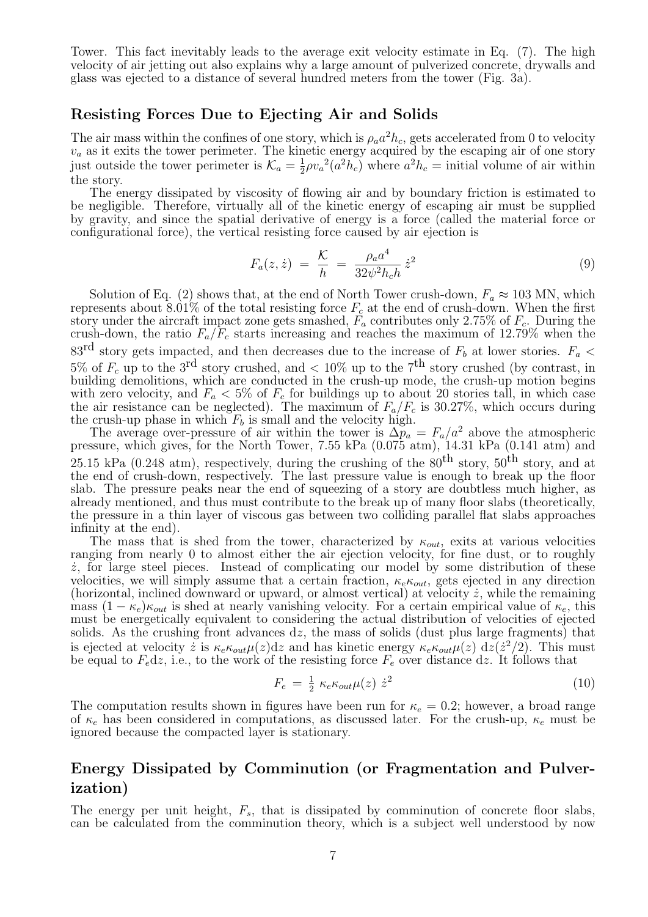Tower. This fact inevitably leads to the average exit velocity estimate in Eq. (7). The high velocity of air jetting out also explains why a large amount of pulverized concrete, drywalls and glass was ejected to a distance of several hundred meters from the tower (Fig. 3a).

#### Resisting Forces Due to Ejecting Air and Solids

The air mass within the confines of one story, which is  $\rho_a a^2 h_c$ , gets accelerated from 0 to velocity  $v_a$  as it exits the tower perimeter. The kinetic energy acquired by the escaping air of one story just outside the tower perimeter is  $\mathcal{K}_a = \frac{1}{2}$  $\frac{1}{2}\rho v_a^2(a^2h_c)$  where  $a^2h_c = \text{initial volume of air within}$ the story.

The energy dissipated by viscosity of flowing air and by boundary friction is estimated to be negligible. Therefore, virtually all of the kinetic energy of escaping air must be supplied by gravity, and since the spatial derivative of energy is a force (called the material force or configurational force), the vertical resisting force caused by air ejection is

$$
F_a(z,\dot{z}) = \frac{\mathcal{K}}{h} = \frac{\rho_a a^4}{32\psi^2 h_c h} \dot{z}^2 \tag{9}
$$

Solution of Eq. (2) shows that, at the end of North Tower crush-down,  $F_a \approx 103$  MN, which represents about 8.01% of the total resisting force  $F_c$  at the end of crush-down. When the first story under the aircraft impact zone gets smashed,  $F_a$  contributes only 2.75% of  $F_c$ . During the crush-down, the ratio  $F_a/F_c$  starts increasing and reaches the maximum of 12.79% when the 83<sup>rd</sup> story gets impacted, and then decreases due to the increase of  $F_b$  at lower stories.  $F_a$  < 5% of  $F_c$  up to the 3<sup>rd</sup> story crushed, and  $\lt 10\%$  up to the 7<sup>th</sup> story crushed (by contrast, in building demolitions, which are conducted in the crush-up mode, the crush-up motion begins with zero velocity, and  $F_a < 5\%$  of  $F_c$  for buildings up to about 20 stories tall, in which case the air resistance can be neglected). The maximum of  $F_a/F_c$  is 30.27%, which occurs during the crush-up phase in which  $F_b$  is small and the velocity high.

The average over-pressure of air within the tower is  $\Delta p_a = F_a/a^2$  above the atmospheric pressure, which gives, for the North Tower, 7.55 kPa (0.075 atm), 14.31 kPa (0.141 atm) and 25.15 kPa (0.248 atm), respectively, during the crushing of the  $80^{th}$  story,  $50^{th}$  story, and at the end of crush-down, respectively. The last pressure value is enough to break up the floor slab. The pressure peaks near the end of squeezing of a story are doubtless much higher, as already mentioned, and thus must contribute to the break up of many floor slabs (theoretically, the pressure in a thin layer of viscous gas between two colliding parallel flat slabs approaches infinity at the end).

The mass that is shed from the tower, characterized by  $\kappa_{out}$ , exits at various velocities ranging from nearly 0 to almost either the air ejection velocity, for fine dust, or to roughly  $\dot{z}$ , for large steel pieces. Instead of complicating our model by some distribution of these velocities, we will simply assume that a certain fraction,  $\kappa_e \kappa_{out}$ , gets ejected in any direction (horizontal, inclined downward or upward, or almost vertical) at velocity  $\dot{z}$ , while the remaining mass  $(1 - \kappa_e) \kappa_{out}$  is shed at nearly vanishing velocity. For a certain empirical value of  $\kappa_e$ , this must be energetically equivalent to considering the actual distribution of velocities of ejected solids. As the crushing front advances dz, the mass of solids (dust plus large fragments) that is ejected at velocity  $\dot{z}$  is  $\kappa_e \kappa_{out} \mu(z) dz$  and has kinetic energy  $\kappa_e \kappa_{out} \mu(z) dz (z^2/2)$ . This must be equal to  $F_e$ dz, i.e., to the work of the resisting force  $F_e$  over distance dz. It follows that

$$
F_e = \frac{1}{2} \kappa_e \kappa_{out} \mu(z) \dot{z}^2 \tag{10}
$$

The computation results shown in figures have been run for  $\kappa_e = 0.2$ ; however, a broad range of  $\kappa_e$  has been considered in computations, as discussed later. For the crush-up,  $\kappa_e$  must be ignored because the compacted layer is stationary.

# Energy Dissipated by Comminution (or Fragmentation and Pulverization)

The energy per unit height,  $F_s$ , that is dissipated by comminution of concrete floor slabs, can be calculated from the comminution theory, which is a subject well understood by now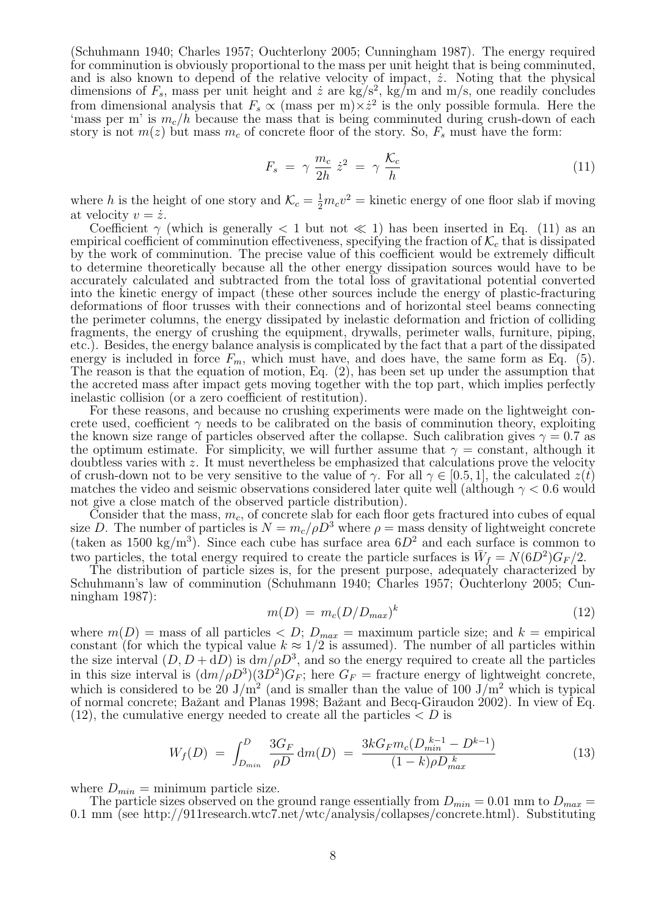(Schuhmann 1940; Charles 1957; Ouchterlony 2005; Cunningham 1987). The energy required for comminution is obviously proportional to the mass per unit height that is being comminuted, and is also known to depend of the relative velocity of impact,  $\dot{z}$ . Noting that the physical dimensions of  $F_s$ , mass per unit height and  $\dot{z}$  are kg/s<sup>2</sup>, kg/m and m/s, one readily concludes from dimensional analysis that  $F_s \propto (\text{mass per m}) \times \dot{z}^2$  is the only possible formula. Here the 'mass per m' is  $m_c/h$  because the mass that is being comminuted during crush-down of each story is not  $m(z)$  but mass  $m<sub>c</sub>$  of concrete floor of the story. So,  $F<sub>s</sub>$  must have the form:

$$
F_s = \gamma \frac{m_c}{2h} \dot{z}^2 = \gamma \frac{\mathcal{K}_c}{h} \tag{11}
$$

where h is the height of one story and  $\mathcal{K}_c = \frac{1}{2}m_c v^2 =$  kinetic energy of one floor slab if moving at velocity  $v = \dot{z}$ .

Coefficient  $\gamma$  (which is generally  $\langle 1 \rangle$  but not  $\langle 1 \rangle$  has been inserted in Eq. (11) as an empirical coefficient of comminution effectiveness, specifying the fraction of  $\mathcal{K}_c$  that is dissipated by the work of comminution. The precise value of this coefficient would be extremely difficult to determine theoretically because all the other energy dissipation sources would have to be accurately calculated and subtracted from the total loss of gravitational potential converted into the kinetic energy of impact (these other sources include the energy of plastic-fracturing deformations of floor trusses with their connections and of horizontal steel beams connecting the perimeter columns, the energy dissipated by inelastic deformation and friction of colliding fragments, the energy of crushing the equipment, drywalls, perimeter walls, furniture, piping, etc.). Besides, the energy balance analysis is complicated by the fact that a part of the dissipated energy is included in force  $F_m$ , which must have, and does have, the same form as Eq. (5). The reason is that the equation of motion, Eq.  $(2)$ , has been set up under the assumption that the accreted mass after impact gets moving together with the top part, which implies perfectly inelastic collision (or a zero coefficient of restitution).

For these reasons, and because no crushing experiments were made on the lightweight concrete used, coefficient  $\gamma$  needs to be calibrated on the basis of comminution theory, exploiting the known size range of particles observed after the collapse. Such calibration gives  $\gamma = 0.7$  as the optimum estimate. For simplicity, we will further assume that  $\gamma = constant$ , although it doubtless varies with z. It must nevertheless be emphasized that calculations prove the velocity of crush-down not to be very sensitive to the value of  $\gamma$ . For all  $\gamma \in [0.5, 1]$ , the calculated  $z(t)$ matches the video and seismic observations considered later quite well (although  $\gamma < 0.6$  would not give a close match of the observed particle distribution).

Consider that the mass,  $m_c$ , of concrete slab for each floor gets fractured into cubes of equal size D. The number of particles is  $N = m_c/\rho D^3$  where  $\rho =$  mass density of lightweight concrete (taken as 1500 kg/m<sup>3</sup>). Since each cube has surface area  $6D^2$  and each surface is common to two particles, the total energy required to create the particle surfaces is  $\bar{W}_f = N(6D^2)G_F/2$ .

The distribution of particle sizes is, for the present purpose, adequately characterized by Schuhmann's law of comminution (Schuhmann 1940; Charles 1957; Ouchterlony 2005; Cunningham 1987):

$$
m(D) = m_c (D/D_{max})^k
$$
\n(12)

where  $m(D)$  = mass of all particles  $\langle D; D_{max}$  = maximum particle size; and  $k$  = empirical constant (for which the typical value  $k \approx 1/2$  is assumed). The number of all particles within the size interval  $(D, D + dD)$  is  $dm/\rho D^3$ , and so the energy required to create all the particles in this size interval is  $\left(\frac{dm}{\rho D^3}\right)\left(\frac{3D^2}{G_F}\right)$ ; here  $G_F$  = fracture energy of lightweight concrete, which is considered to be 20  $J/m^2$  (and is smaller than the value of 100  $J/m^2$  which is typical of normal concrete; Baˇzant and Planas 1998; Baˇzant and Becq-Giraudon 2002). In view of Eq.  $(12)$ , the cumulative energy needed to create all the particles  $\langle D \rangle$  is

$$
W_f(D) = \int_{D_{min}}^{D} \frac{3G_F}{\rho D} dm(D) = \frac{3kG_F m_c(D_{min}^{k-1} - D^{k-1})}{(1-k)\rho D_{max}^{\ k}} \tag{13}
$$

where  $D_{min} =$  minimum particle size.

The particle sizes observed on the ground range essentially from  $D_{min} = 0.01$  mm to  $D_{max} =$ 0.1 mm (see http://911research.wtc7.net/wtc/analysis/collapses/concrete.html). Substituting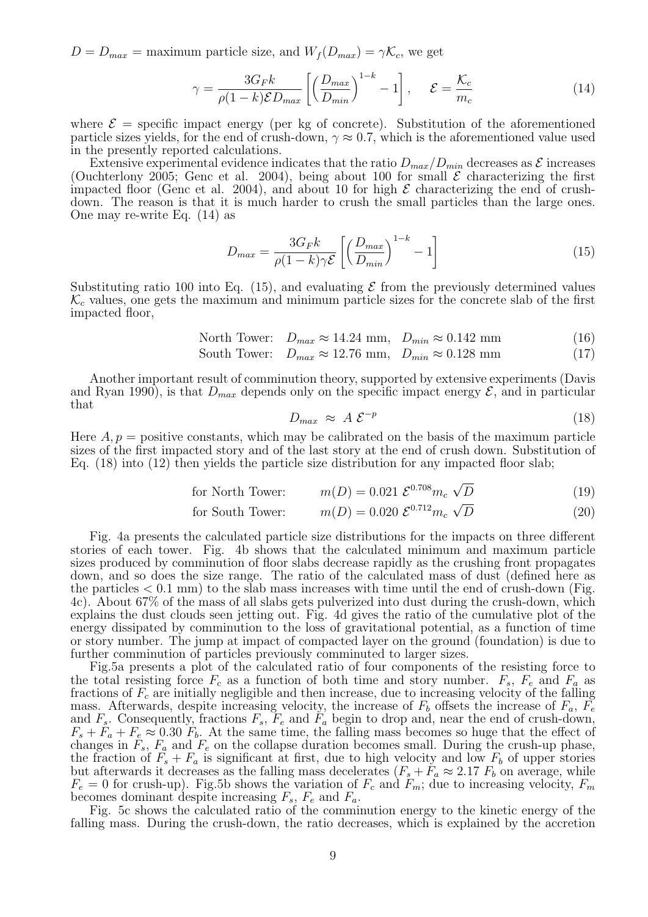$D = D_{max}$  = maximum particle size, and  $W_f(D_{max}) = \gamma \mathcal{K}_c$ , we get

$$
\gamma = \frac{3G_F k}{\rho(1-k)\mathcal{E}D_{max}} \left[ \left( \frac{D_{max}}{D_{min}} \right)^{1-k} - 1 \right], \quad \mathcal{E} = \frac{\mathcal{K}_c}{m_c} \tag{14}
$$

where  $\mathcal{E}$  = specific impact energy (per kg of concrete). Substitution of the aforementioned particle sizes yields, for the end of crush-down,  $\gamma \approx 0.7$ , which is the aforementioned value used in the presently reported calculations.

Extensive experimental evidence indicates that the ratio  $D_{max}/D_{min}$  decreases as  $\mathcal E$  increases (Ouchterlony 2005; Genc et al. 2004), being about 100 for small  $\mathcal E$  characterizing the first impacted floor (Genc et al. 2004), and about 10 for high  $\mathcal E$  characterizing the end of crushdown. The reason is that it is much harder to crush the small particles than the large ones. One may re-write Eq. (14) as

$$
D_{max} = \frac{3G_F k}{\rho(1-k)\gamma \mathcal{E}} \left[ \left( \frac{D_{max}}{D_{min}} \right)^{1-k} - 1 \right]
$$
 (15)

Substituting ratio 100 into Eq. (15), and evaluating  $\mathcal E$  from the previously determined values  $\mathcal{K}_c$  values, one gets the maximum and minimum particle sizes for the concrete slab of the first impacted floor,

$$
\text{North Tower:} \quad D_{max} \approx 14.24 \text{ mm}, \quad D_{min} \approx 0.142 \text{ mm}
$$
\n
$$
(16)
$$

$$
South Tower: \quad D_{max} \approx 12.76 \text{ mm}, \quad D_{min} \approx 0.128 \text{ mm}
$$
\n
$$
(17)
$$

Another important result of comminution theory, supported by extensive experiments (Davis and Ryan 1990), is that  $D_{max}$  depends only on the specific impact energy  $\mathcal{E}$ , and in particular that

$$
D_{max} \approx A \mathcal{E}^{-p} \tag{18}
$$

Here  $A, p =$  positive constants, which may be calibrated on the basis of the maximum particle sizes of the first impacted story and of the last story at the end of crush down. Substitution of Eq. (18) into (12) then yields the particle size distribution for any impacted floor slab;

for North Tower: 
$$
m(D) = 0.021 \ \mathcal{E}^{0.708} m_c \ \sqrt{D}
$$
 (19)

for South Tower: 
$$
m(D) = 0.020 \mathcal{E}^{0.712} m_c \sqrt{D}
$$
 (20)

Fig. 4a presents the calculated particle size distributions for the impacts on three different stories of each tower. Fig. 4b shows that the calculated minimum and maximum particle sizes produced by comminution of floor slabs decrease rapidly as the crushing front propagates down, and so does the size range. The ratio of the calculated mass of dust (defined here as the particles  $< 0.1$  mm) to the slab mass increases with time until the end of crush-down (Fig. 4c). About 67% of the mass of all slabs gets pulverized into dust during the crush-down, which explains the dust clouds seen jetting out. Fig. 4d gives the ratio of the cumulative plot of the energy dissipated by comminution to the loss of gravitational potential, as a function of time or story number. The jump at impact of compacted layer on the ground (foundation) is due to further comminution of particles previously comminuted to larger sizes.

Fig.5a presents a plot of the calculated ratio of four components of the resisting force to the total resisting force  $F_c$  as a function of both time and story number.  $F_s$ ,  $F_e$  and  $F_a$  as fractions of  $F_c$  are initially negligible and then increase, due to increasing velocity of the falling mass. Afterwards, despite increasing velocity, the increase of  $F_b$  offsets the increase of  $F_a$ ,  $F_e$ and  $F_s$ . Consequently, fractions  $F_s$ ,  $F_e$  and  $F_a$  begin to drop and, near the end of crush-down,  $F_s + F_a + F_e \approx 0.30 F_b$ . At the same time, the falling mass becomes so huge that the effect of changes in  $F_s$ ,  $F_a$  and  $F_e$  on the collapse duration becomes small. During the crush-up phase, the fraction of  $F_s + F_a$  is significant at first, due to high velocity and low  $F_b$  of upper stories but afterwards it decreases as the falling mass decelerates  $(F_s + F_a \approx 2.17 F_b$  on average, while  $F_e = 0$  for crush-up). Fig.5b shows the variation of  $F_c$  and  $F_m$ ; due to increasing velocity,  $F_m$ becomes dominant despite increasing  $F_s$ ,  $F_e$  and  $F_a$ .

Fig. 5c shows the calculated ratio of the comminution energy to the kinetic energy of the falling mass. During the crush-down, the ratio decreases, which is explained by the accretion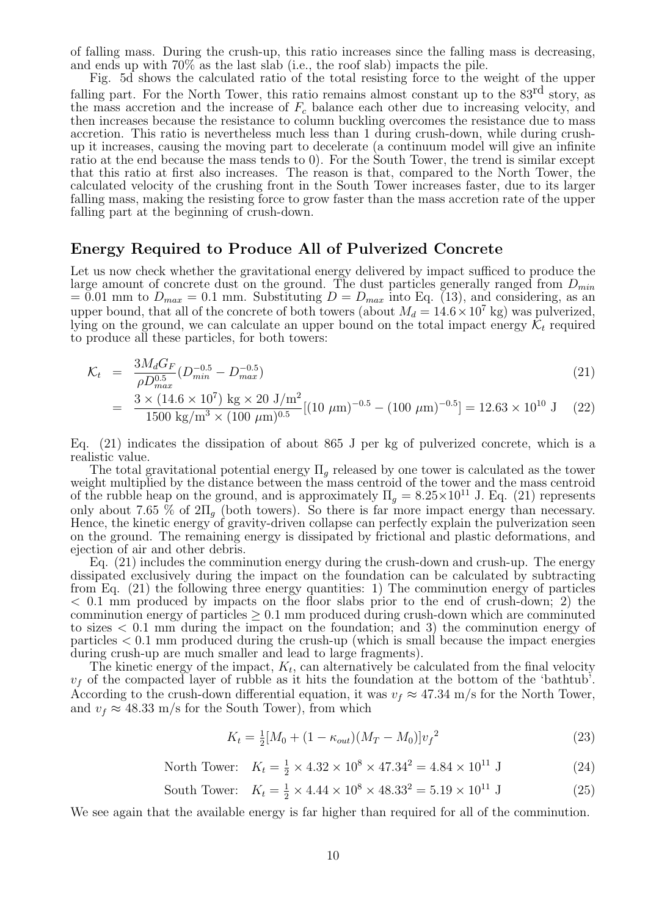of falling mass. During the crush-up, this ratio increases since the falling mass is decreasing, and ends up with 70% as the last slab (i.e., the roof slab) impacts the pile.

Fig. 5d shows the calculated ratio of the total resisting force to the weight of the upper falling part. For the North Tower, this ratio remains almost constant up to the 83<sup>rd</sup> story, as the mass accretion and the increase of  $F_c$  balance each other due to increasing velocity, and then increases because the resistance to column buckling overcomes the resistance due to mass accretion. This ratio is nevertheless much less than 1 during crush-down, while during crushup it increases, causing the moving part to decelerate (a continuum model will give an infinite ratio at the end because the mass tends to 0). For the South Tower, the trend is similar except that this ratio at first also increases. The reason is that, compared to the North Tower, the calculated velocity of the crushing front in the South Tower increases faster, due to its larger falling mass, making the resisting force to grow faster than the mass accretion rate of the upper falling part at the beginning of crush-down.

#### Energy Required to Produce All of Pulverized Concrete

Let us now check whether the gravitational energy delivered by impact sufficed to produce the large amount of concrete dust on the ground. The dust particles generally ranged from  $D_{min}$  $= 0.01$  mm to  $D_{max} = 0.1$  mm. Substituting  $D = D_{max}$  into Eq. (13), and considering, as an upper bound, that all of the concrete of both towers (about  $M_d = 14.6 \times 10^7$  kg) was pulverized, lying on the ground, we can calculate an upper bound on the total impact energy  $\mathcal{K}_t$  required to produce all these particles, for both towers:

$$
\mathcal{K}_t = \frac{3M_d G_F}{\rho D_{max}^{0.5}} (D_{min}^{-0.5} - D_{max}^{-0.5})
$$
\n(21)

$$
= \frac{3 \times (14.6 \times 10^7) \text{ kg} \times 20 \text{ J/m}^2}{1500 \text{ kg/m}^3 \times (100 \text{ }\mu\text{m})^{0.5}} [(10 \text{ }\mu\text{m})^{-0.5} - (100 \text{ }\mu\text{m})^{-0.5}] = 12.63 \times 10^{10} \text{ J}
$$
 (22)

Eq. (21) indicates the dissipation of about 865 J per kg of pulverized concrete, which is a realistic value.

The total gravitational potential energy  $\Pi_q$  released by one tower is calculated as the tower weight multiplied by the distance between the mass centroid of the tower and the mass centroid of the rubble heap on the ground, and is approximately  $\Pi_g = 8.25 \times 10^{11}$  J. Eq. (21) represents only about 7.65 % of  $2\Pi_q$  (both towers). So there is far more impact energy than necessary. Hence, the kinetic energy of gravity-driven collapse can perfectly explain the pulverization seen on the ground. The remaining energy is dissipated by frictional and plastic deformations, and ejection of air and other debris.

Eq. (21) includes the comminution energy during the crush-down and crush-up. The energy dissipated exclusively during the impact on the foundation can be calculated by subtracting from Eq. (21) the following three energy quantities: 1) The comminution energy of particles < 0.1 mm produced by impacts on the floor slabs prior to the end of crush-down; 2) the comminution energy of particles  $\geq 0.1$  mm produced during crush-down which are comminuted to sizes < 0.1 mm during the impact on the foundation; and 3) the comminution energy of particles < 0.1 mm produced during the crush-up (which is small because the impact energies during crush-up are much smaller and lead to large fragments).

The kinetic energy of the impact,  $K_t$ , can alternatively be calculated from the final velocity  $v_f$  of the compacted layer of rubble as it hits the foundation at the bottom of the 'bathtub'. According to the crush-down differential equation, it was  $v_f \approx 47.34$  m/s for the North Tower, and  $v_f \approx 48.33$  m/s for the South Tower), from which

$$
K_t = \frac{1}{2} [M_0 + (1 - \kappa_{out})(M_T - M_0)] v_f^2
$$
\n(23)

North Tower:  $K_t = \frac{1}{2} \times 4.32 \times 10^8 \times 47.34^2 = 4.84 \times 10^{11}$  J (24)

South Tower: 
$$
K_t = \frac{1}{2} \times 4.44 \times 10^8 \times 48.33^2 = 5.19 \times 10^{11} \text{ J}
$$
 (25)

We see again that the available energy is far higher than required for all of the comminution.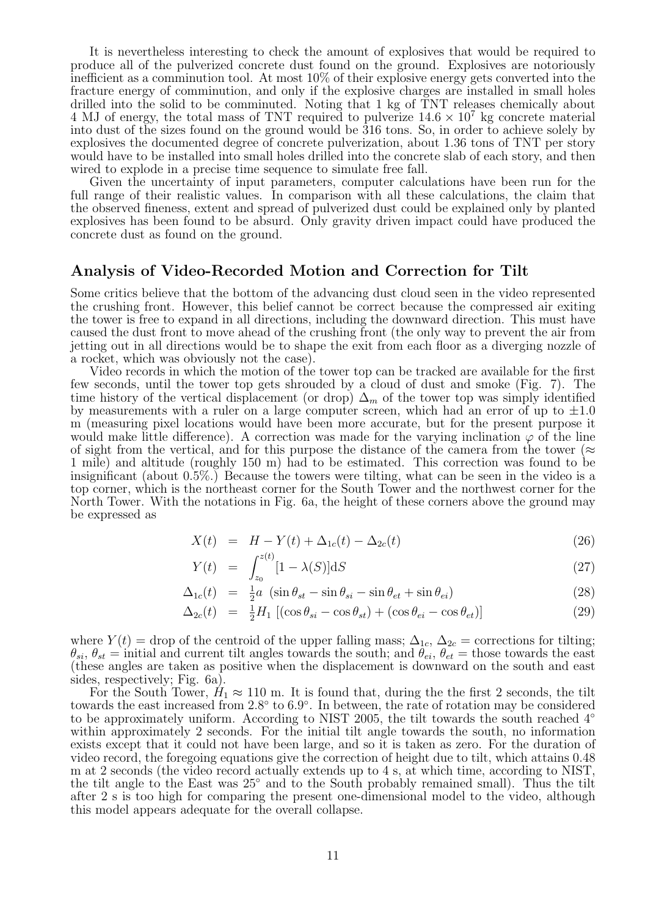It is nevertheless interesting to check the amount of explosives that would be required to produce all of the pulverized concrete dust found on the ground. Explosives are notoriously inefficient as a comminution tool. At most 10% of their explosive energy gets converted into the fracture energy of comminution, and only if the explosive charges are installed in small holes drilled into the solid to be comminuted. Noting that 1 kg of TNT releases chemically about 4 MJ of energy, the total mass of TNT required to pulverize  $14.6 \times 10^7$  kg concrete material into dust of the sizes found on the ground would be 316 tons. So, in order to achieve solely by explosives the documented degree of concrete pulverization, about 1.36 tons of TNT per story would have to be installed into small holes drilled into the concrete slab of each story, and then wired to explode in a precise time sequence to simulate free fall.

Given the uncertainty of input parameters, computer calculations have been run for the full range of their realistic values. In comparison with all these calculations, the claim that the observed fineness, extent and spread of pulverized dust could be explained only by planted explosives has been found to be absurd. Only gravity driven impact could have produced the concrete dust as found on the ground.

#### Analysis of Video-Recorded Motion and Correction for Tilt

Some critics believe that the bottom of the advancing dust cloud seen in the video represented the crushing front. However, this belief cannot be correct because the compressed air exiting the tower is free to expand in all directions, including the downward direction. This must have caused the dust front to move ahead of the crushing front (the only way to prevent the air from jetting out in all directions would be to shape the exit from each floor as a diverging nozzle of a rocket, which was obviously not the case).

Video records in which the motion of the tower top can be tracked are available for the first few seconds, until the tower top gets shrouded by a cloud of dust and smoke (Fig. 7). The time history of the vertical displacement (or drop)  $\Delta_m$  of the tower top was simply identified by measurements with a ruler on a large computer screen, which had an error of up to  $\pm 1.0$ m (measuring pixel locations would have been more accurate, but for the present purpose it would make little difference). A correction was made for the varying inclination  $\varphi$  of the line of sight from the vertical, and for this purpose the distance of the camera from the tower ( $\approx$ 1 mile) and altitude (roughly 150 m) had to be estimated. This correction was found to be insignificant (about 0.5%.) Because the towers were tilting, what can be seen in the video is a top corner, which is the northeast corner for the South Tower and the northwest corner for the North Tower. With the notations in Fig. 6a, the height of these corners above the ground may be expressed as

$$
X(t) = H - Y(t) + \Delta_{1c}(t) - \Delta_{2c}(t)
$$
\n(26)

$$
Y(t) = \int_{z_0}^{z(t)} [1 - \lambda(S)] \mathrm{d}S \tag{27}
$$

$$
\Delta_{1c}(t) = \frac{1}{2}a \left( \sin \theta_{st} - \sin \theta_{si} - \sin \theta_{et} + \sin \theta_{ei} \right) \tag{28}
$$

$$
\Delta_{2c}(t) = \frac{1}{2}H_1 \left[ (\cos \theta_{si} - \cos \theta_{st}) + (\cos \theta_{ei} - \cos \theta_{et}) \right]
$$
\n(29)

where  $Y(t) =$  drop of the centroid of the upper falling mass;  $\Delta_{1c}$ ,  $\Delta_{2c} =$  corrections for tilting;  $\theta_{si}, \theta_{st} = \text{initial}$  and current tilt angles towards the south; and  $\theta_{ei}, \theta_{et} = \text{those}$  towards the east (these angles are taken as positive when the displacement is downward on the south and east sides, respectively; Fig. 6a).

For the South Tower,  $H_1 \approx 110$  m. It is found that, during the the first 2 seconds, the tilt towards the east increased from 2.8° to 6.9°. In between, the rate of rotation may be considered to be approximately uniform. According to NIST 2005, the tilt towards the south reached 4◦ within approximately 2 seconds. For the initial tilt angle towards the south, no information exists except that it could not have been large, and so it is taken as zero. For the duration of video record, the foregoing equations give the correction of height due to tilt, which attains 0.48 m at 2 seconds (the video record actually extends up to 4 s, at which time, according to NIST, the tilt angle to the East was 25◦ and to the South probably remained small). Thus the tilt after 2 s is too high for comparing the present one-dimensional model to the video, although this model appears adequate for the overall collapse.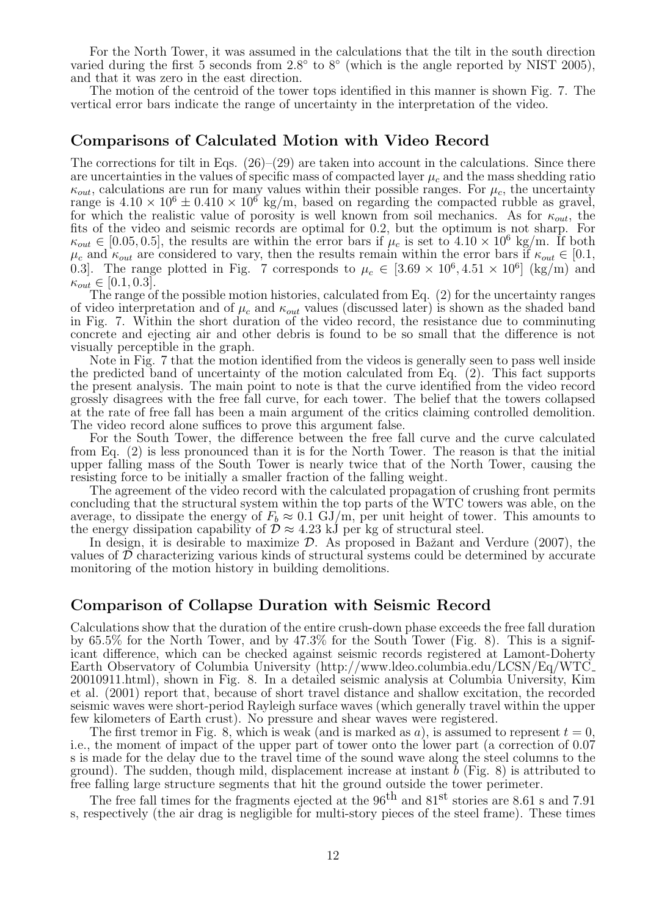For the North Tower, it was assumed in the calculations that the tilt in the south direction varied during the first 5 seconds from  $2.8^{\circ}$  to  $8^{\circ}$  (which is the angle reported by NIST 2005), and that it was zero in the east direction.

The motion of the centroid of the tower tops identified in this manner is shown Fig. 7. The vertical error bars indicate the range of uncertainty in the interpretation of the video.

#### Comparisons of Calculated Motion with Video Record

The corrections for tilt in Eqs.  $(26)$ – $(29)$  are taken into account in the calculations. Since there are uncertainties in the values of specific mass of compacted layer  $\mu_c$  and the mass shedding ratio  $\kappa_{out}$ , calculations are run for many values within their possible ranges. For  $\mu_c$ , the uncertainty range is  $4.10 \times 10^6 \pm 0.410 \times 10^6$  kg/m, based on regarding the compacted rubble as gravel, for which the realistic value of porosity is well known from soil mechanics. As for  $\kappa_{out}$ , the fits of the video and seismic records are optimal for 0.2, but the optimum is not sharp. For  $\kappa_{out} \in [0.05, 0.5],$  the results are within the error bars if  $\mu_c$  is set to  $4.10 \times 10^6$  kg/m. If both  $\mu_c$  and  $\kappa_{out}$  are considered to vary, then the results remain within the error bars if  $\kappa_{out} \in [0.1, 1]$ 0.3. The range plotted in Fig. 7 corresponds to  $\mu_c \in [3.69 \times 10^6, 4.51 \times 10^6]$  (kg/m) and  $\kappa_{out} \in [0.1, 0.3].$ 

The range of the possible motion histories, calculated from Eq. (2) for the uncertainty ranges of video interpretation and of  $\mu_c$  and  $\kappa_{out}$  values (discussed later) is shown as the shaded band in Fig. 7. Within the short duration of the video record, the resistance due to comminuting concrete and ejecting air and other debris is found to be so small that the difference is not visually perceptible in the graph.

Note in Fig. 7 that the motion identified from the videos is generally seen to pass well inside the predicted band of uncertainty of the motion calculated from Eq. (2). This fact supports the present analysis. The main point to note is that the curve identified from the video record grossly disagrees with the free fall curve, for each tower. The belief that the towers collapsed at the rate of free fall has been a main argument of the critics claiming controlled demolition. The video record alone suffices to prove this argument false.

For the South Tower, the difference between the free fall curve and the curve calculated from Eq. (2) is less pronounced than it is for the North Tower. The reason is that the initial upper falling mass of the South Tower is nearly twice that of the North Tower, causing the resisting force to be initially a smaller fraction of the falling weight.

The agreement of the video record with the calculated propagation of crushing front permits concluding that the structural system within the top parts of the WTC towers was able, on the average, to dissipate the energy of  $F_b \approx 0.1 \text{ GJ/m}$ , per unit height of tower. This amounts to the energy dissipation capability of  $\mathcal{D} \approx 4.23$  kJ per kg of structural steel.

In design, it is desirable to maximize  $\mathcal{D}$ . As proposed in Bažant and Verdure (2007), the values of  $\mathcal D$  characterizing various kinds of structural systems could be determined by accurate monitoring of the motion history in building demolitions.

#### Comparison of Collapse Duration with Seismic Record

Calculations show that the duration of the entire crush-down phase exceeds the free fall duration by 65.5% for the North Tower, and by 47.3% for the South Tower (Fig. 8). This is a significant difference, which can be checked against seismic records registered at Lamont-Doherty Earth Observatory of Columbia University (http://www.ldeo.columbia.edu/LCSN/Eq/WTC 20010911.html), shown in Fig. 8. In a detailed seismic analysis at Columbia University, Kim et al. (2001) report that, because of short travel distance and shallow excitation, the recorded seismic waves were short-period Rayleigh surface waves (which generally travel within the upper few kilometers of Earth crust). No pressure and shear waves were registered.

The first tremor in Fig. 8, which is weak (and is marked as a), is assumed to represent  $t = 0$ , i.e., the moment of impact of the upper part of tower onto the lower part (a correction of 0.07 s is made for the delay due to the travel time of the sound wave along the steel columns to the ground). The sudden, though mild, displacement increase at instant  $\check{b}$  (Fig. 8) is attributed to free falling large structure segments that hit the ground outside the tower perimeter.

The free fall times for the fragments ejected at the 96<sup>th</sup> and 81<sup>st</sup> stories are 8.61 s and 7.91 s, respectively (the air drag is negligible for multi-story pieces of the steel frame). These times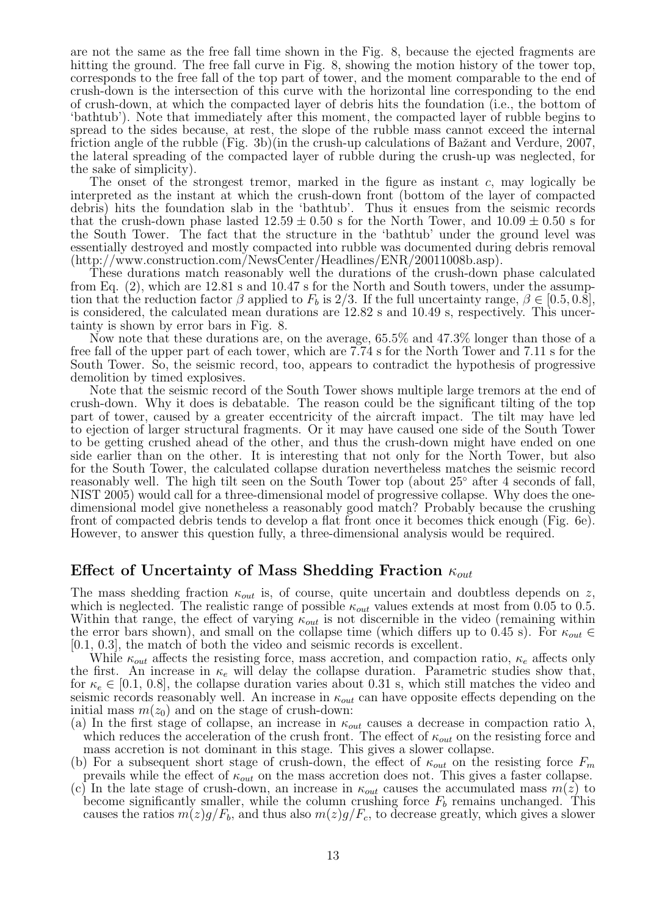are not the same as the free fall time shown in the Fig. 8, because the ejected fragments are hitting the ground. The free fall curve in Fig. 8, showing the motion history of the tower top, corresponds to the free fall of the top part of tower, and the moment comparable to the end of crush-down is the intersection of this curve with the horizontal line corresponding to the end of crush-down, at which the compacted layer of debris hits the foundation (i.e., the bottom of 'bathtub'). Note that immediately after this moment, the compacted layer of rubble begins to spread to the sides because, at rest, the slope of the rubble mass cannot exceed the internal friction angle of the rubble (Fig. 3b)(in the crush-up calculations of Bažant and Verdure, 2007, the lateral spreading of the compacted layer of rubble during the crush-up was neglected, for the sake of simplicity).

The onset of the strongest tremor, marked in the figure as instant  $c$ , may logically be interpreted as the instant at which the crush-down front (bottom of the layer of compacted debris) hits the foundation slab in the 'bathtub'. Thus it ensues from the seismic records that the crush-down phase lasted  $12.59 \pm 0.50$  s for the North Tower, and  $10.09 \pm 0.50$  s for the South Tower. The fact that the structure in the 'bathtub' under the ground level was essentially destroyed and mostly compacted into rubble was documented during debris removal (http://www.construction.com/NewsCenter/Headlines/ENR/20011008b.asp).

These durations match reasonably well the durations of the crush-down phase calculated from Eq. (2), which are 12.81 s and 10.47 s for the North and South towers, under the assumption that the reduction factor  $\beta$  applied to  $F_b$  is 2/3. If the full uncertainty range,  $\beta \in [0.5, 0.8]$ , is considered, the calculated mean durations are 12.82 s and 10.49 s, respectively. This uncertainty is shown by error bars in Fig. 8.

Now note that these durations are, on the average, 65.5% and 47.3% longer than those of a free fall of the upper part of each tower, which are 7.74 s for the North Tower and 7.11 s for the South Tower. So, the seismic record, too, appears to contradict the hypothesis of progressive demolition by timed explosives.

Note that the seismic record of the South Tower shows multiple large tremors at the end of crush-down. Why it does is debatable. The reason could be the significant tilting of the top part of tower, caused by a greater eccentricity of the aircraft impact. The tilt may have led to ejection of larger structural fragments. Or it may have caused one side of the South Tower to be getting crushed ahead of the other, and thus the crush-down might have ended on one side earlier than on the other. It is interesting that not only for the North Tower, but also for the South Tower, the calculated collapse duration nevertheless matches the seismic record reasonably well. The high tilt seen on the South Tower top (about 25◦ after 4 seconds of fall, NIST 2005) would call for a three-dimensional model of progressive collapse. Why does the onedimensional model give nonetheless a reasonably good match? Probably because the crushing front of compacted debris tends to develop a flat front once it becomes thick enough (Fig. 6e). However, to answer this question fully, a three-dimensional analysis would be required.

## Effect of Uncertainty of Mass Shedding Fraction  $\kappa_{out}$

The mass shedding fraction  $\kappa_{out}$  is, of course, quite uncertain and doubtless depends on z, which is neglected. The realistic range of possible  $\kappa_{out}$  values extends at most from 0.05 to 0.5. Within that range, the effect of varying  $\kappa_{out}$  is not discernible in the video (remaining within the error bars shown), and small on the collapse time (which differs up to 0.45 s). For  $\kappa_{out} \in$ [0.1, 0.3], the match of both the video and seismic records is excellent.

While  $\kappa_{out}$  affects the resisting force, mass accretion, and compaction ratio,  $\kappa_e$  affects only the first. An increase in  $\kappa_e$  will delay the collapse duration. Parametric studies show that, for  $\kappa_e \in [0.1, 0.8]$ , the collapse duration varies about 0.31 s, which still matches the video and seismic records reasonably well. An increase in  $\kappa_{out}$  can have opposite effects depending on the initial mass  $m(z_0)$  and on the stage of crush-down:

(a) In the first stage of collapse, an increase in  $\kappa_{out}$  causes a decrease in compaction ratio  $\lambda$ , which reduces the acceleration of the crush front. The effect of  $\kappa_{out}$  on the resisting force and mass accretion is not dominant in this stage. This gives a slower collapse.

- (b) For a subsequent short stage of crush-down, the effect of  $\kappa_{out}$  on the resisting force  $F_m$ prevails while the effect of  $\kappa_{out}$  on the mass accretion does not. This gives a faster collapse.
- (c) In the late stage of crush-down, an increase in  $\kappa_{out}$  causes the accumulated mass  $m(z)$  to become significantly smaller, while the column crushing force  $F_b$  remains unchanged. This causes the ratios  $m(z)g/F_b$ , and thus also  $m(z)g/F_c$ , to decrease greatly, which gives a slower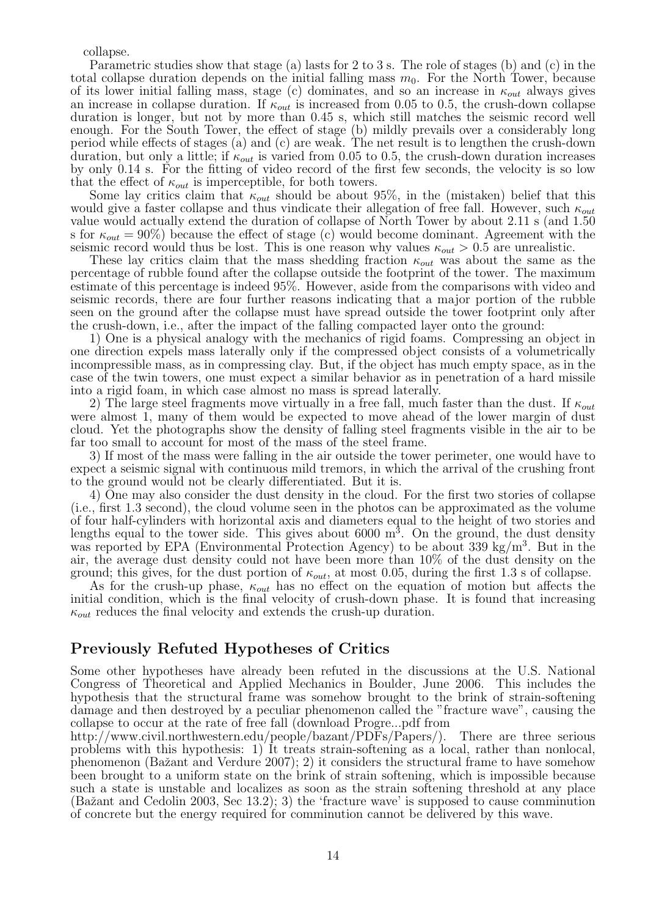collapse.

Parametric studies show that stage (a) lasts for 2 to 3 s. The role of stages (b) and (c) in the total collapse duration depends on the initial falling mass  $m_0$ . For the North Tower, because of its lower initial falling mass, stage (c) dominates, and so an increase in  $\kappa_{out}$  always gives an increase in collapse duration. If  $\kappa_{out}$  is increased from 0.05 to 0.5, the crush-down collapse duration is longer, but not by more than 0.45 s, which still matches the seismic record well enough. For the South Tower, the effect of stage (b) mildly prevails over a considerably long period while effects of stages (a) and (c) are weak. The net result is to lengthen the crush-down duration, but only a little; if  $\kappa_{out}$  is varied from 0.05 to 0.5, the crush-down duration increases by only 0.14 s. For the fitting of video record of the first few seconds, the velocity is so low that the effect of  $\kappa_{out}$  is imperceptible, for both towers.

Some lay critics claim that  $\kappa_{out}$  should be about 95%, in the (mistaken) belief that this would give a faster collapse and thus vindicate their allegation of free fall. However, such  $\kappa_{out}$ value would actually extend the duration of collapse of North Tower by about 2.11 s (and 1.50 s for  $\kappa_{out} = 90\%$ ) because the effect of stage (c) would become dominant. Agreement with the seismic record would thus be lost. This is one reason why values  $\kappa_{out} > 0.5$  are unrealistic.

These lay critics claim that the mass shedding fraction  $\kappa_{out}$  was about the same as the percentage of rubble found after the collapse outside the footprint of the tower. The maximum estimate of this percentage is indeed 95%. However, aside from the comparisons with video and seismic records, there are four further reasons indicating that a major portion of the rubble seen on the ground after the collapse must have spread outside the tower footprint only after the crush-down, i.e., after the impact of the falling compacted layer onto the ground:

1) One is a physical analogy with the mechanics of rigid foams. Compressing an object in one direction expels mass laterally only if the compressed object consists of a volumetrically incompressible mass, as in compressing clay. But, if the object has much empty space, as in the case of the twin towers, one must expect a similar behavior as in penetration of a hard missile into a rigid foam, in which case almost no mass is spread laterally.

2) The large steel fragments move virtually in a free fall, much faster than the dust. If  $\kappa_{out}$ were almost 1, many of them would be expected to move ahead of the lower margin of dust cloud. Yet the photographs show the density of falling steel fragments visible in the air to be far too small to account for most of the mass of the steel frame.

3) If most of the mass were falling in the air outside the tower perimeter, one would have to expect a seismic signal with continuous mild tremors, in which the arrival of the crushing front to the ground would not be clearly differentiated. But it is.

4) One may also consider the dust density in the cloud. For the first two stories of collapse (i.e., first 1.3 second), the cloud volume seen in the photos can be approximated as the volume of four half-cylinders with horizontal axis and diameters equal to the height of two stories and lengths equal to the tower side. This gives about  $6000 \text{ m}^3$ . On the ground, the dust density was reported by EPA (Environmental Protection Agency) to be about 339 kg/m<sup>3</sup>. But in the air, the average dust density could not have been more than 10% of the dust density on the ground; this gives, for the dust portion of  $\kappa_{out}$ , at most 0.05, during the first 1.3 s of collapse.

As for the crush-up phase,  $\kappa_{out}$  has no effect on the equation of motion but affects the initial condition, which is the final velocity of crush-down phase. It is found that increasing  $\kappa_{out}$  reduces the final velocity and extends the crush-up duration.

#### Previously Refuted Hypotheses of Critics

Some other hypotheses have already been refuted in the discussions at the U.S. National Congress of Theoretical and Applied Mechanics in Boulder, June 2006. This includes the hypothesis that the structural frame was somehow brought to the brink of strain-softening damage and then destroyed by a peculiar phenomenon called the "fracture wave", causing the collapse to occur at the rate of free fall (download Progre...pdf from

http://www.civil.northwestern.edu/people/bazant/PDFs/Papers/). There are three serious problems with this hypothesis: 1) It treats strain-softening as a local, rather than nonlocal, phenomenon (Baˇzant and Verdure 2007); 2) it considers the structural frame to have somehow been brought to a uniform state on the brink of strain softening, which is impossible because such a state is unstable and localizes as soon as the strain softening threshold at any place (Bažant and Cedolin 2003, Sec 13.2); 3) the 'fracture wave' is supposed to cause comminution of concrete but the energy required for comminution cannot be delivered by this wave.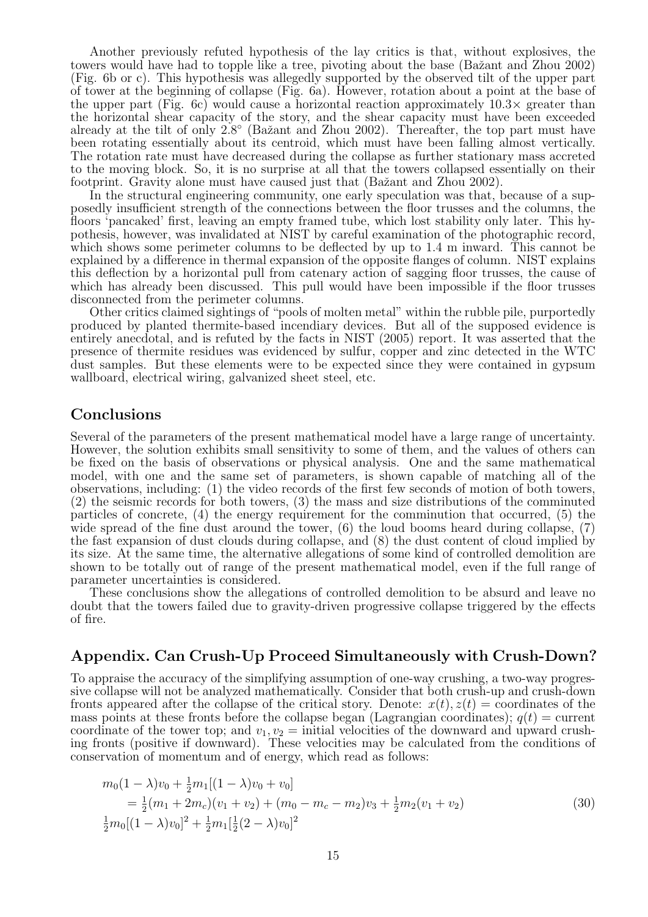Another previously refuted hypothesis of the lay critics is that, without explosives, the towers would have had to topple like a tree, pivoting about the base (Bažant and Zhou 2002) (Fig. 6b or c). This hypothesis was allegedly supported by the observed tilt of the upper part of tower at the beginning of collapse (Fig. 6a). However, rotation about a point at the base of the upper part (Fig. 6c) would cause a horizontal reaction approximately  $10.3\times$  greater than the horizontal shear capacity of the story, and the shear capacity must have been exceeded already at the tilt of only 2.8° (Bažant and Zhou 2002). Thereafter, the top part must have been rotating essentially about its centroid, which must have been falling almost vertically. The rotation rate must have decreased during the collapse as further stationary mass accreted to the moving block. So, it is no surprise at all that the towers collapsed essentially on their footprint. Gravity alone must have caused just that (Bažant and Zhou 2002).

In the structural engineering community, one early speculation was that, because of a supposedly insufficient strength of the connections between the floor trusses and the columns, the floors 'pancaked' first, leaving an empty framed tube, which lost stability only later. This hypothesis, however, was invalidated at NIST by careful examination of the photographic record, which shows some perimeter columns to be deflected by up to 1.4 m inward. This cannot be explained by a difference in thermal expansion of the opposite flanges of column. NIST explains this deflection by a horizontal pull from catenary action of sagging floor trusses, the cause of which has already been discussed. This pull would have been impossible if the floor trusses disconnected from the perimeter columns.

Other critics claimed sightings of "pools of molten metal" within the rubble pile, purportedly produced by planted thermite-based incendiary devices. But all of the supposed evidence is entirely anecdotal, and is refuted by the facts in NIST (2005) report. It was asserted that the presence of thermite residues was evidenced by sulfur, copper and zinc detected in the WTC dust samples. But these elements were to be expected since they were contained in gypsum wallboard, electrical wiring, galvanized sheet steel, etc.

#### **Conclusions**

Several of the parameters of the present mathematical model have a large range of uncertainty. However, the solution exhibits small sensitivity to some of them, and the values of others can be fixed on the basis of observations or physical analysis. One and the same mathematical model, with one and the same set of parameters, is shown capable of matching all of the observations, including: (1) the video records of the first few seconds of motion of both towers, (2) the seismic records for both towers, (3) the mass and size distributions of the comminuted particles of concrete, (4) the energy requirement for the comminution that occurred, (5) the wide spread of the fine dust around the tower, (6) the loud booms heard during collapse, (7) the fast expansion of dust clouds during collapse, and (8) the dust content of cloud implied by its size. At the same time, the alternative allegations of some kind of controlled demolition are shown to be totally out of range of the present mathematical model, even if the full range of parameter uncertainties is considered.

These conclusions show the allegations of controlled demolition to be absurd and leave no doubt that the towers failed due to gravity-driven progressive collapse triggered by the effects of fire.

#### Appendix. Can Crush-Up Proceed Simultaneously with Crush-Down?

To appraise the accuracy of the simplifying assumption of one-way crushing, a two-way progressive collapse will not be analyzed mathematically. Consider that both crush-up and crush-down fronts appeared after the collapse of the critical story. Denote:  $x(t)$ ,  $z(t)$  = coordinates of the mass points at these fronts before the collapse began (Lagrangian coordinates);  $q(t) =$  current coordinate of the tower top; and  $v_1, v_2 =$  initial velocities of the downward and upward crushing fronts (positive if downward). These velocities may be calculated from the conditions of conservation of momentum and of energy, which read as follows:

$$
m_0(1 - \lambda)v_0 + \frac{1}{2}m_1[(1 - \lambda)v_0 + v_0]
$$
  
=  $\frac{1}{2}(m_1 + 2m_c)(v_1 + v_2) + (m_0 - m_c - m_2)v_3 + \frac{1}{2}m_2(v_1 + v_2)$   
 $\frac{1}{2}m_0[(1 - \lambda)v_0]^2 + \frac{1}{2}m_1[\frac{1}{2}(2 - \lambda)v_0]^2$  (30)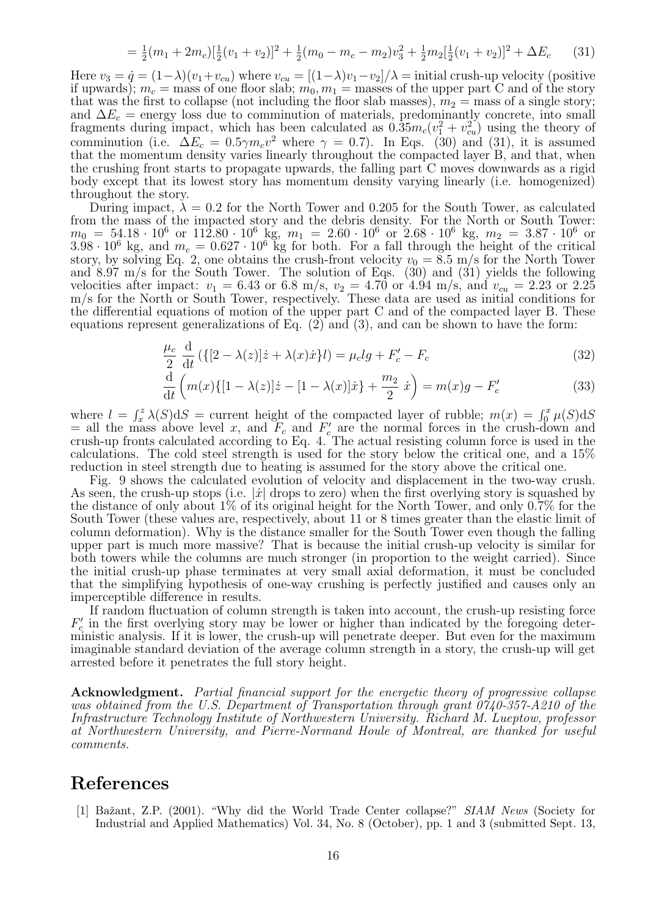$$
= \frac{1}{2}(m_1 + 2m_c)\left[\frac{1}{2}(v_1 + v_2)\right]^2 + \frac{1}{2}(m_0 - m_c - m_2)v_3^2 + \frac{1}{2}m_2\left[\frac{1}{2}(v_1 + v_2)\right]^2 + \Delta E_c \tag{31}
$$

Here  $v_3 = \dot{q} = (1-\lambda)(v_1+v_{cu})$  where  $v_{cu} = [(1-\lambda)v_1-v_2]/\lambda = \text{initial crush-up velocity}$  (positive if upwards);  $m_c$  = mass of one floor slab;  $m_0, m_1$  = masses of the upper part C and of the story that was the first to collapse (not including the floor slab masses),  $m_2$  = mass of a single story; and  $\Delta E_c$  = energy loss due to comminution of materials, predominantly concrete, into small fragments during impact, which has been calculated as  $(0.35m_c(v_1^2 + v_{cu}^2))$  using the theory of comminution (i.e.  $\Delta E_c = 0.5 \gamma m_c v^2$  where  $\gamma = 0.7$ ). In Eqs. (30) and (31), it is assumed that the momentum density varies linearly throughout the compacted layer B, and that, when the crushing front starts to propagate upwards, the falling part C moves downwards as a rigid body except that its lowest story has momentum density varying linearly (i.e. homogenized) throughout the story.

During impact,  $\lambda = 0.2$  for the North Tower and 0.205 for the South Tower, as calculated from the mass of the impacted story and the debris density. For the North or South Tower:  $m_0 = 54.18 \cdot 10^6$  or  $112.80 \cdot 10^6$  kg,  $m_1 = 2.60 \cdot 10^6$  or  $2.68 \cdot 10^6$  kg,  $m_2 = 3.87 \cdot 10^6$  or  $3.98 \cdot 10^6$  kg, and  $m_c = 0.627 \cdot 10^6$  kg for both. For a fall through the height of the critical story, by solving Eq. 2, one obtains the crush-front velocity  $v_0 = 8.5$  m/s for the North Tower and  $8.97$  m/s for the South Tower. The solution of Eqs.  $(30)$  and  $(31)$  yields the following velocities after impact:  $v_1 = 6.43$  or 6.8 m/s,  $v_2 = 4.70$  or 4.94 m/s, and  $v_{cu} = 2.23$  or 2.25 m/s for the North or South Tower, respectively. These data are used as initial conditions for the differential equations of motion of the upper part C and of the compacted layer B. These equations represent generalizations of Eq. (2) and (3), and can be shown to have the form:

$$
\frac{\mu_c}{2} \frac{\mathrm{d}}{\mathrm{d}t} \left( \{ [2 - \lambda(z)]\dot{z} + \lambda(x)\dot{x} \} l \right) = \mu_c l g + F'_c - F_c \tag{32}
$$

$$
\frac{d}{dt}\left(m(x)\{[1-\lambda(z)]\dot{z} - [1-\lambda(x)]\dot{x}\} + \frac{m_2}{2}\dot{x}\right) = m(x)g - F'_c
$$
\n(33)

where  $l = \int_x^z \lambda(S) dS$  = current height of the compacted layer of rubble;  $m(x) = \int_0^x \mu(S) dS$ = all the mass above level x, and  $F_c$  and  $F_c'$  are the normal forces in the crush-down and crush-up fronts calculated according to Eq. 4. The actual resisting column force is used in the calculations. The cold steel strength is used for the story below the critical one, and a 15% reduction in steel strength due to heating is assumed for the story above the critical one.

Fig. 9 shows the calculated evolution of velocity and displacement in the two-way crush. As seen, the crush-up stops (i.e.  $|\dot{x}|$  drops to zero) when the first overlying story is squashed by the distance of only about 1% of its original height for the North Tower, and only 0.7% for the South Tower (these values are, respectively, about 11 or 8 times greater than the elastic limit of column deformation). Why is the distance smaller for the South Tower even though the falling upper part is much more massive? That is because the initial crush-up velocity is similar for both towers while the columns are much stronger (in proportion to the weight carried). Since the initial crush-up phase terminates at very small axial deformation, it must be concluded that the simplifying hypothesis of one-way crushing is perfectly justified and causes only an imperceptible difference in results.

If random fluctuation of column strength is taken into account, the crush-up resisting force  $F_c$  in the first overlying story may be lower or higher than indicated by the foregoing deterministic analysis. If it is lower, the crush-up will penetrate deeper. But even for the maximum imaginable standard deviation of the average column strength in a story, the crush-up will get arrested before it penetrates the full story height.

Acknowledgment. Partial financial support for the energetic theory of progressive collapse was obtained from the U.S. Department of Transportation through grant 0740-357-A210 of the Infrastructure Technology Institute of Northwestern University. Richard M. Lueptow, professor at Northwestern University, and Pierre-Normand Houle of Montreal, are thanked for useful comments.

## References

[1] Bažant, Z.P. (2001). "Why did the World Trade Center collapse?" SIAM News (Society for Industrial and Applied Mathematics) Vol. 34, No. 8 (October), pp. 1 and 3 (submitted Sept. 13,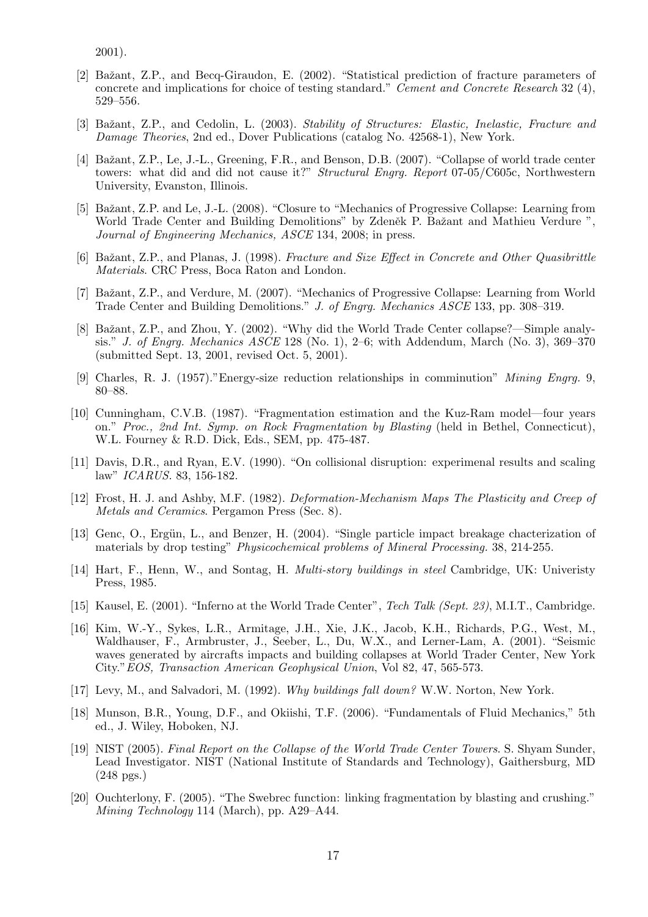2001).

- [2] Bažant, Z.P., and Becq-Giraudon, E. (2002). "Statistical prediction of fracture parameters of concrete and implications for choice of testing standard." Cement and Concrete Research 32 (4), 529–556.
- [3] Bažant, Z.P., and Cedolin, L. (2003). Stability of Structures: Elastic, Inelastic, Fracture and Damage Theories, 2nd ed., Dover Publications (catalog No. 42568-1), New York.
- [4] Bažant, Z.P., Le, J.-L., Greening, F.R., and Benson, D.B. (2007). "Collapse of world trade center towers: what did and did not cause it?" Structural Engrg. Report 07-05/C605c, Northwestern University, Evanston, Illinois.
- [5] Bažant, Z.P. and Le, J.-L. (2008). "Closure to "Mechanics of Progressive Collapse: Learning from World Trade Center and Building Demolitions" by Zdeněk P. Bažant and Mathieu Verdure ", Journal of Engineering Mechanics, ASCE 134, 2008; in press.
- [6] Bažant, Z.P., and Planas, J. (1998). Fracture and Size Effect in Concrete and Other Quasibrittle Materials. CRC Press, Boca Raton and London.
- [7] Bažant, Z.P., and Verdure, M. (2007). "Mechanics of Progressive Collapse: Learning from World Trade Center and Building Demolitions." J. of Engrg. Mechanics ASCE 133, pp. 308–319.
- [8] Bažant, Z.P., and Zhou, Y. (2002). "Why did the World Trade Center collapse?—Simple analysis." J. of Engrg. Mechanics ASCE 128 (No. 1), 2–6; with Addendum, March (No. 3), 369–370 (submitted Sept. 13, 2001, revised Oct. 5, 2001).
- [9] Charles, R. J. (1957)."Energy-size reduction relationships in comminution" Mining Engrg. 9, 80–88.
- [10] Cunningham, C.V.B. (1987). "Fragmentation estimation and the Kuz-Ram model—four years on." Proc., 2nd Int. Symp. on Rock Fragmentation by Blasting (held in Bethel, Connecticut), W.L. Fourney & R.D. Dick, Eds., SEM, pp. 475-487.
- [11] Davis, D.R., and Ryan, E.V. (1990). "On collisional disruption: experimenal results and scaling law" ICARUS. 83, 156-182.
- [12] Frost, H. J. and Ashby, M.F. (1982). Deformation-Mechanism Maps The Plasticity and Creep of Metals and Ceramics. Pergamon Press (Sec. 8).
- [13] Genc, O., Ergün, L., and Benzer, H. (2004). "Single particle impact breakage chacterization of materials by drop testing" Physicochemical problems of Mineral Processing. 38, 214-255.
- [14] Hart, F., Henn, W., and Sontag, H. Multi-story buildings in steel Cambridge, UK: Univeristy Press, 1985.
- [15] Kausel, E. (2001). "Inferno at the World Trade Center", Tech Talk (Sept. 23), M.I.T., Cambridge.
- [16] Kim, W.-Y., Sykes, L.R., Armitage, J.H., Xie, J.K., Jacob, K.H., Richards, P.G., West, M., Waldhauser, F., Armbruster, J., Seeber, L., Du, W.X., and Lerner-Lam, A. (2001). "Seismic waves generated by aircrafts impacts and building collapses at World Trader Center, New York City."EOS, Transaction American Geophysical Union, Vol 82, 47, 565-573.
- [17] Levy, M., and Salvadori, M. (1992). Why buildings fall down? W.W. Norton, New York.
- [18] Munson, B.R., Young, D.F., and Okiishi, T.F. (2006). "Fundamentals of Fluid Mechanics," 5th ed., J. Wiley, Hoboken, NJ.
- [19] NIST (2005). Final Report on the Collapse of the World Trade Center Towers. S. Shyam Sunder, Lead Investigator. NIST (National Institute of Standards and Technology), Gaithersburg, MD (248 pgs.)
- [20] Ouchterlony, F. (2005). "The Swebrec function: linking fragmentation by blasting and crushing." Mining Technology 114 (March), pp. A29–A44.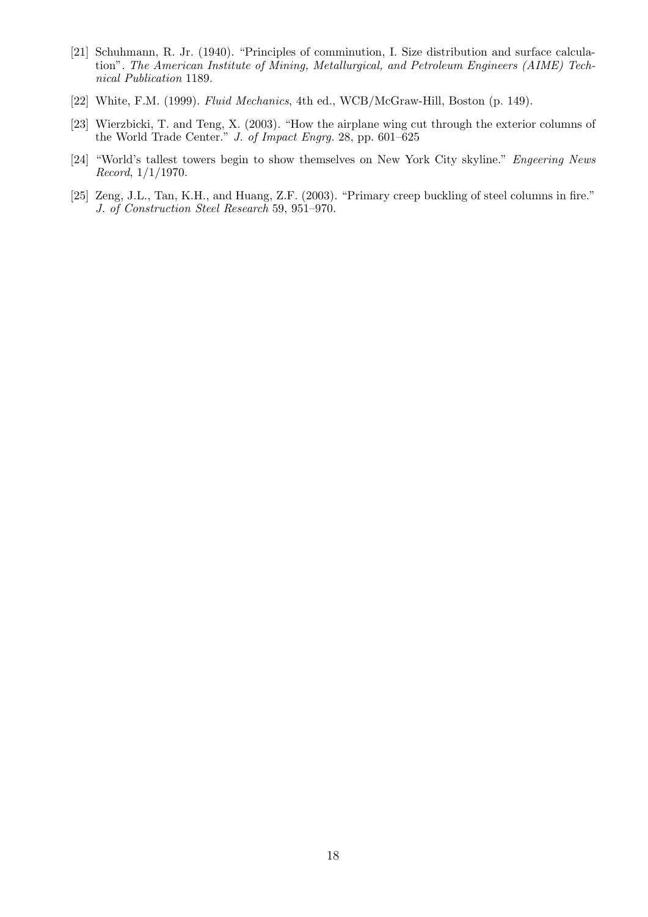- [21] Schuhmann, R. Jr. (1940). "Principles of comminution, I. Size distribution and surface calculation". The American Institute of Mining, Metallurgical, and Petroleum Engineers (AIME) Technical Publication 1189.
- [22] White, F.M. (1999). Fluid Mechanics, 4th ed., WCB/McGraw-Hill, Boston (p. 149).
- [23] Wierzbicki, T. and Teng, X. (2003). "How the airplane wing cut through the exterior columns of the World Trade Center." J. of Impact Engrg. 28, pp. 601–625
- [24] "World's tallest towers begin to show themselves on New York City skyline." Engeering News Record, 1/1/1970.
- [25] Zeng, J.L., Tan, K.H., and Huang, Z.F. (2003). "Primary creep buckling of steel columns in fire." J. of Construction Steel Research 59, 951–970.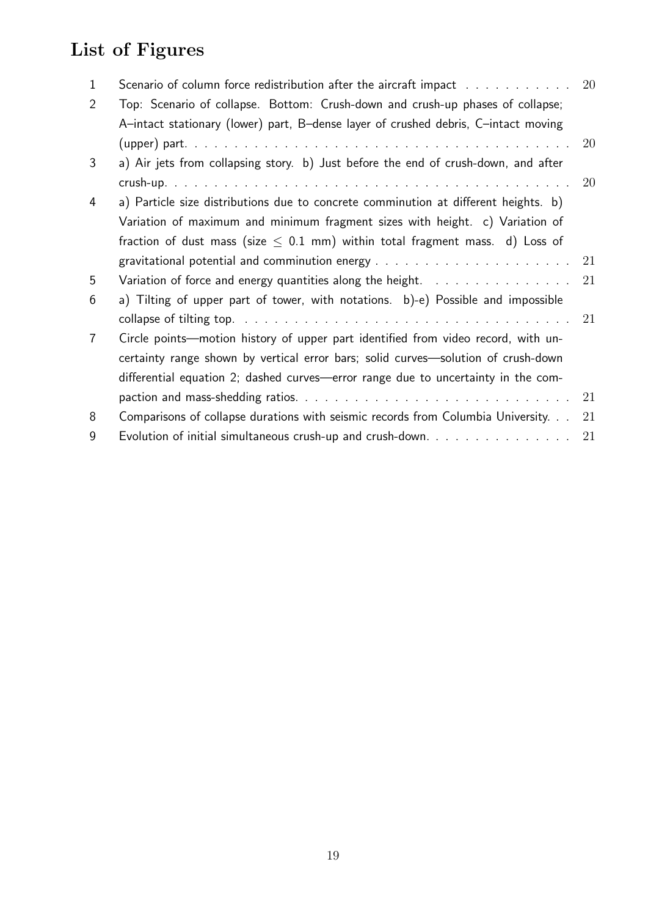# List of Figures

| 1              | Scenario of column force redistribution after the aircraft impact results and results and set of section of $\sim$ | <b>20</b> |
|----------------|--------------------------------------------------------------------------------------------------------------------|-----------|
| 2              | Top: Scenario of collapse. Bottom: Crush-down and crush-up phases of collapse;                                     |           |
|                | A-intact stationary (lower) part, B-dense layer of crushed debris, C-intact moving                                 |           |
|                |                                                                                                                    | 20        |
| 3              | a) Air jets from collapsing story. b) Just before the end of crush-down, and after                                 |           |
|                |                                                                                                                    | 20        |
| 4              | a) Particle size distributions due to concrete comminution at different heights. b)                                |           |
|                | Variation of maximum and minimum fragment sizes with height. c) Variation of                                       |           |
|                | fraction of dust mass (size $\leq$ 0.1 mm) within total fragment mass. d) Loss of                                  |           |
|                |                                                                                                                    |           |
| 5              |                                                                                                                    | 21        |
| 6              | a) Tilting of upper part of tower, with notations. b)-e) Possible and impossible                                   |           |
|                |                                                                                                                    |           |
| $\overline{7}$ | Circle points—motion history of upper part identified from video record, with un-                                  |           |
|                | certainty range shown by vertical error bars; solid curves-solution of crush-down                                  |           |
|                | differential equation 2; dashed curves—error range due to uncertainty in the com-                                  |           |
|                |                                                                                                                    | 21        |
| 8              | Comparisons of collapse durations with seismic records from Columbia University.                                   | 21        |
| 9              | Evolution of initial simultaneous crush-up and crush-down. $\ldots$ ,                                              | 21        |
|                |                                                                                                                    |           |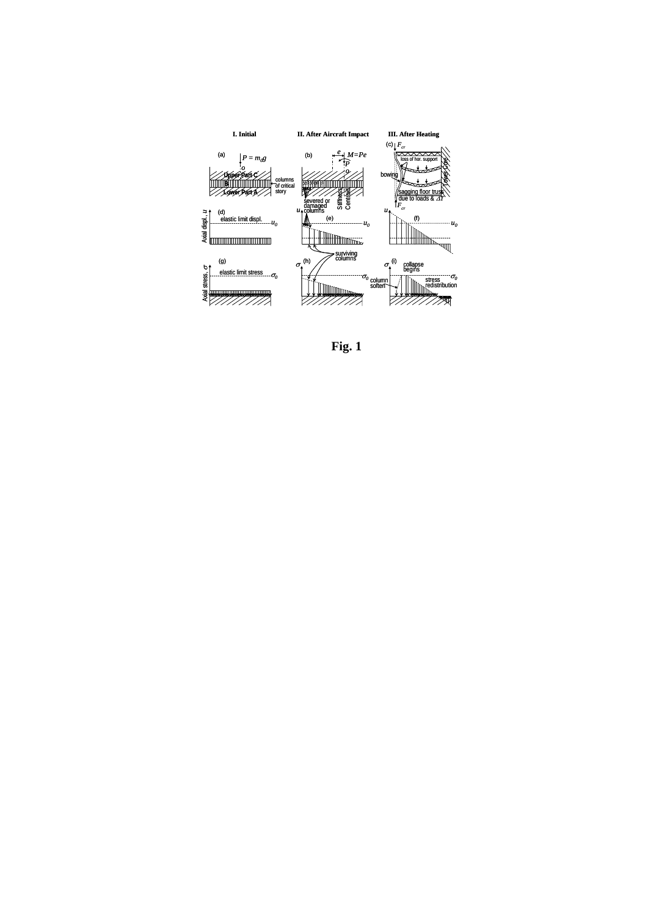

**Fig. 1**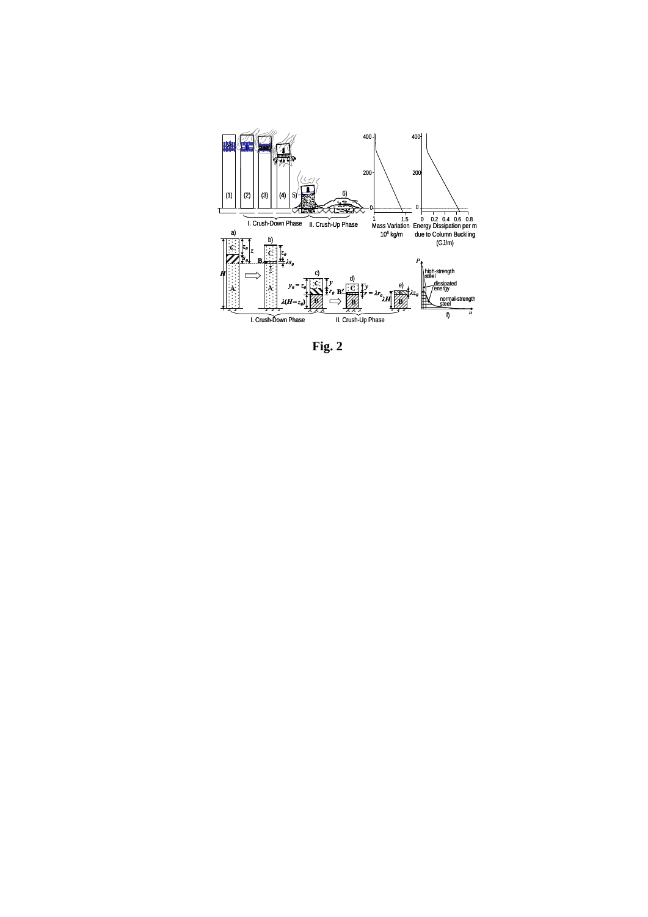

**Fig. 2**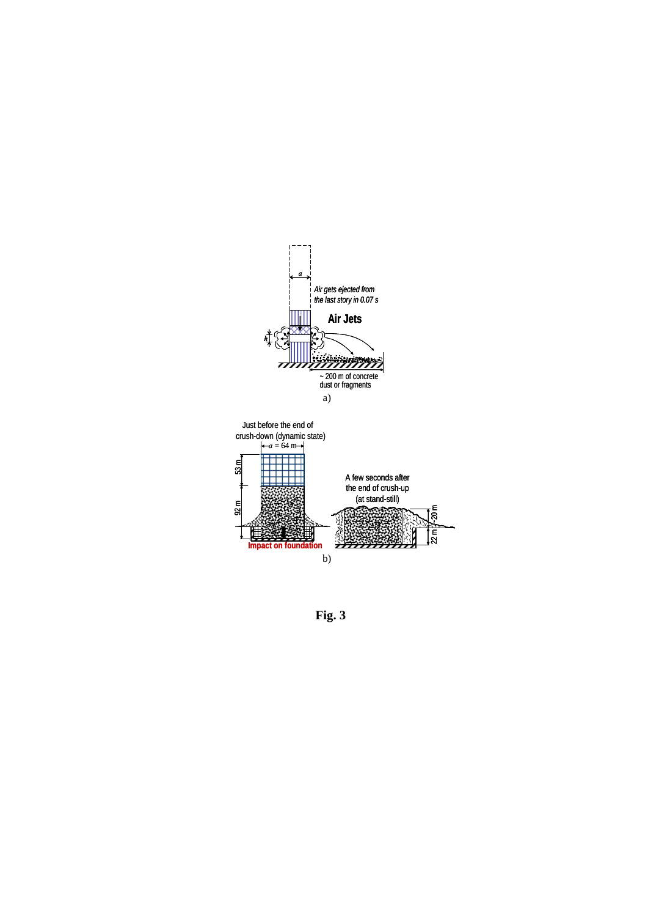

**Fig. 3**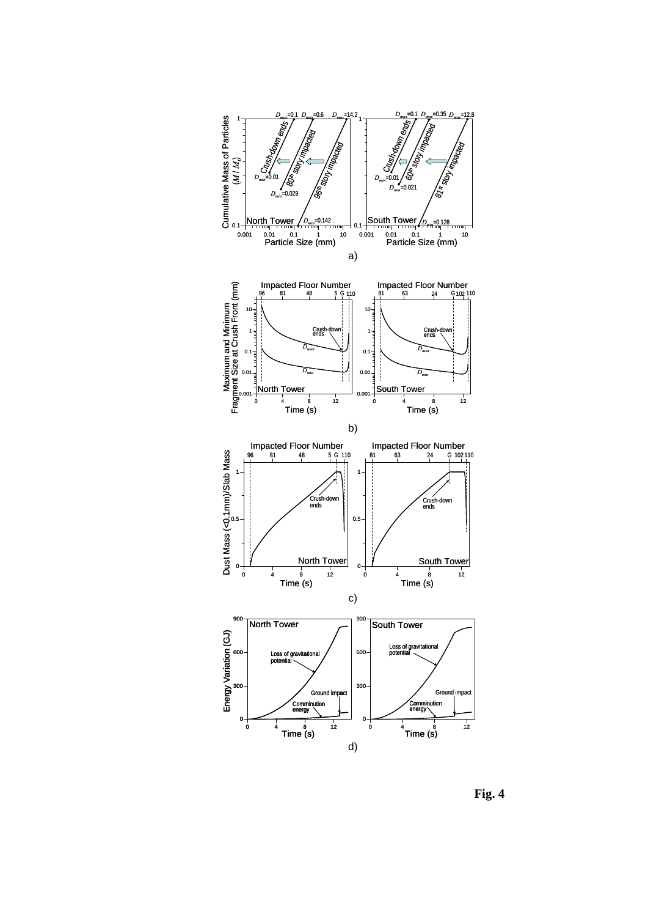

**Fig. 4**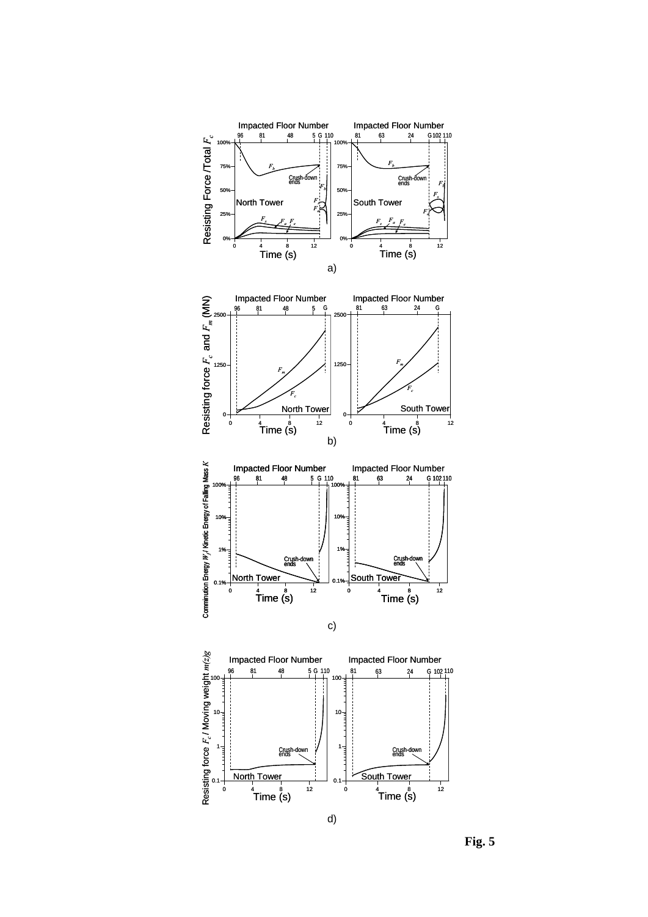

**Fig. 5**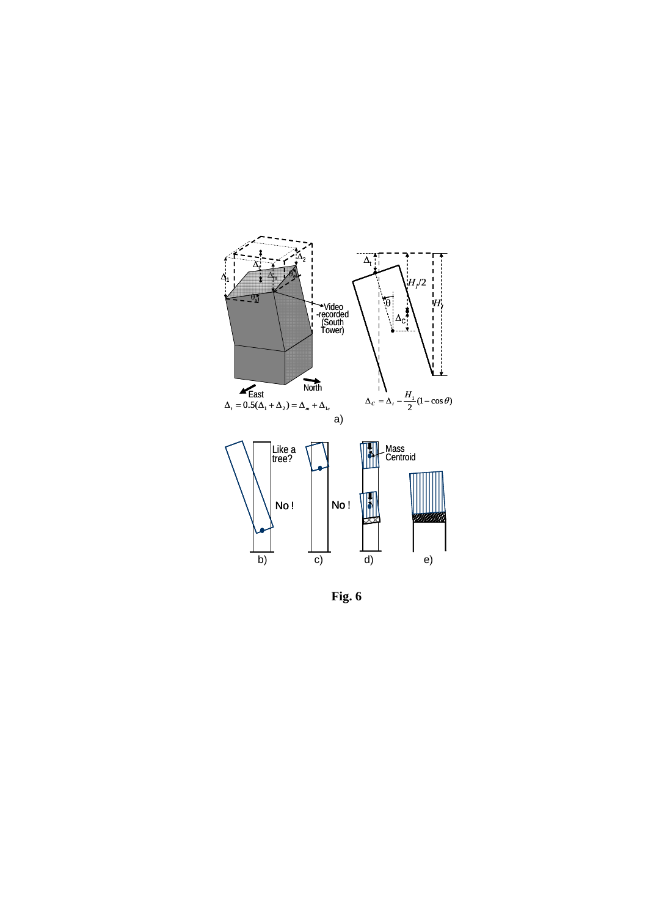

**Fig. 6**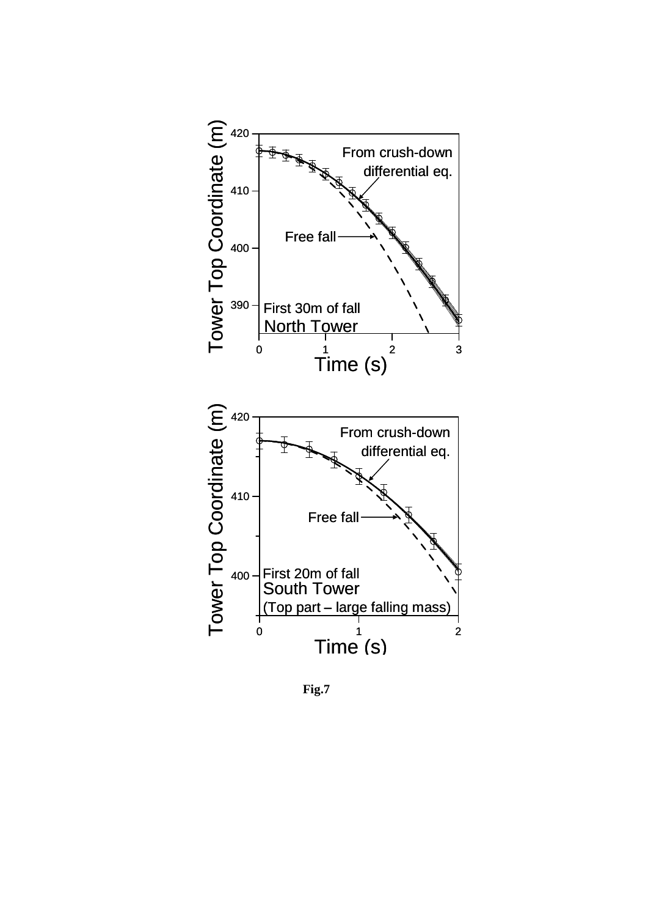

**Fig.7**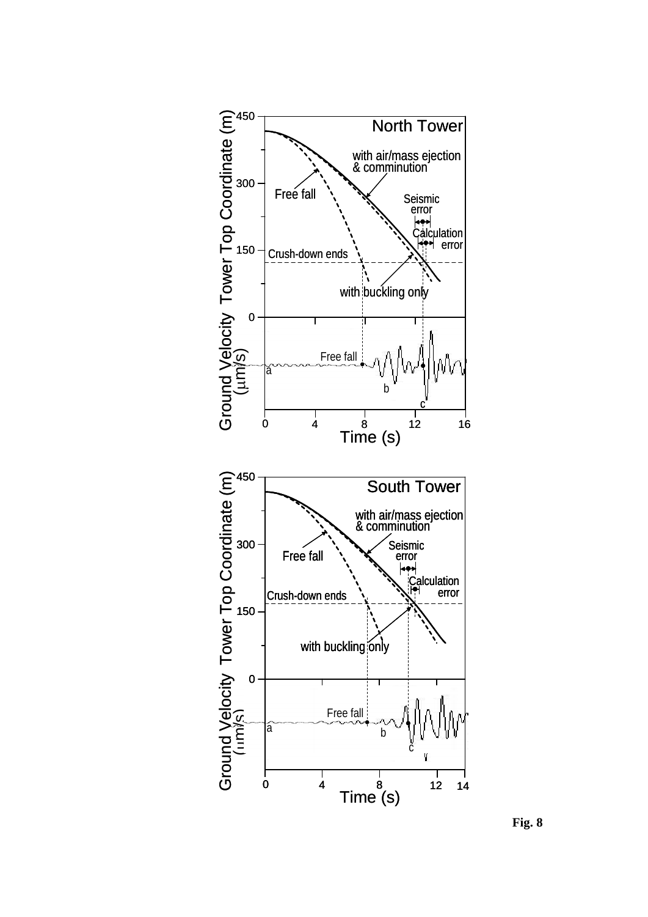

**Fig. 8**